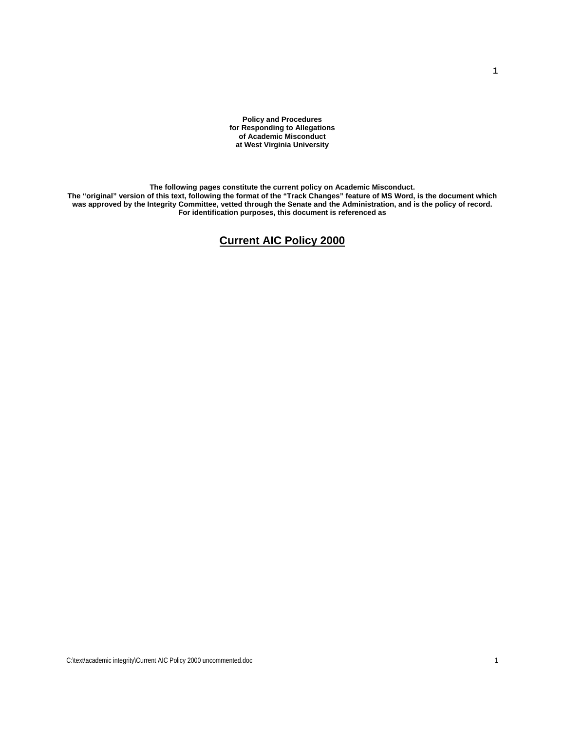**Policy and Procedures for Responding to Allegations of Academic Misconduct at West Virginia University** 

**The following pages constitute the current policy on Academic Misconduct.** 

**The "original" version of this text, following the format of the "Track Changes" feature of MS Word, is the document which was approved by the Integrity Committee, vetted through the Senate and the Administration, and is the policy of record. For identification purposes, this document is referenced as** 

#### **Current AIC Policy 2000**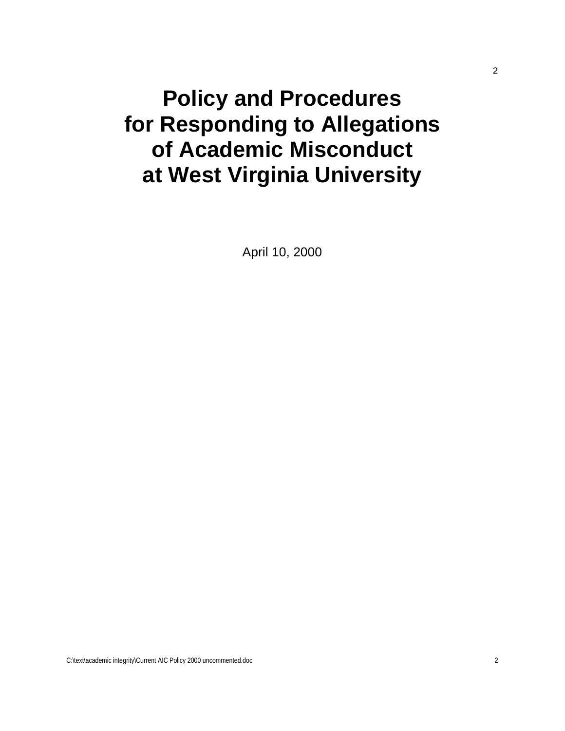# **Policy and Procedures for Responding to Allegations of Academic Misconduct at West Virginia University**

April 10, 2000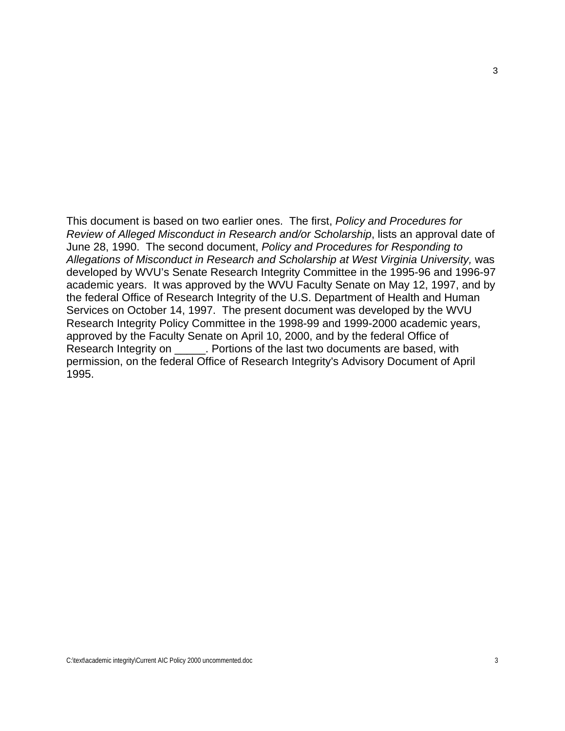This document is based on two earlier ones. The first, *Policy and Procedures for Review of Alleged Misconduct in Research and/or Scholarship*, lists an approval date of June 28, 1990. The second document, *Policy and Procedures for Responding to Allegations of Misconduct in Research and Scholarship at West Virginia University,* was developed by WVU's Senate Research Integrity Committee in the 1995-96 and 1996-97 academic years. It was approved by the WVU Faculty Senate on May 12, 1997, and by the federal Office of Research Integrity of the U.S. Department of Health and Human Services on October 14, 1997. The present document was developed by the WVU Research Integrity Policy Committee in the 1998-99 and 1999-2000 academic years, approved by the Faculty Senate on April 10, 2000, and by the federal Office of Research Integrity on \_\_\_\_\_. Portions of the last two documents are based, with permission, on the federal Office of Research Integrity's Advisory Document of April 1995.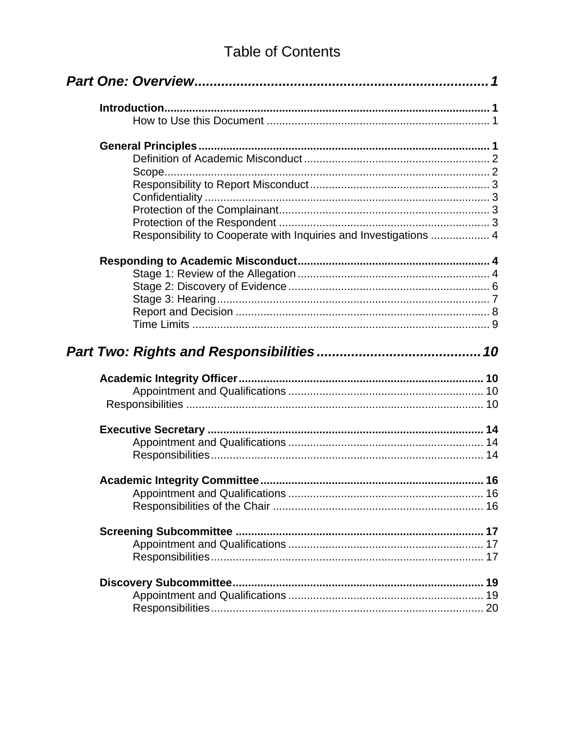### **Table of Contents**

| Responsibility to Cooperate with Inquiries and Investigations  4 |  |
|------------------------------------------------------------------|--|
|                                                                  |  |
|                                                                  |  |
|                                                                  |  |
|                                                                  |  |
|                                                                  |  |
|                                                                  |  |
|                                                                  |  |
|                                                                  |  |
|                                                                  |  |
|                                                                  |  |
|                                                                  |  |
|                                                                  |  |
|                                                                  |  |
|                                                                  |  |
|                                                                  |  |
|                                                                  |  |
|                                                                  |  |
|                                                                  |  |
|                                                                  |  |
|                                                                  |  |
|                                                                  |  |
|                                                                  |  |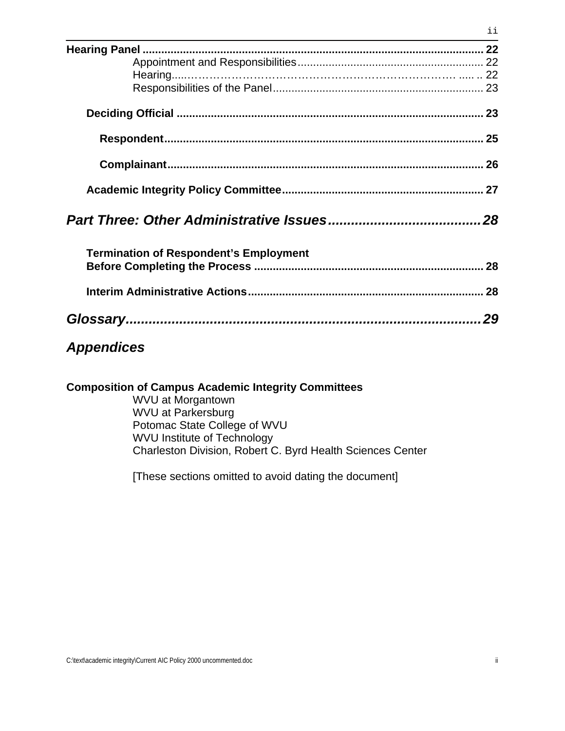|                                               | 26 |  |
|-----------------------------------------------|----|--|
|                                               |    |  |
|                                               |    |  |
|                                               |    |  |
|                                               | 28 |  |
| <b>Termination of Respondent's Employment</b> |    |  |
|                                               |    |  |
|                                               |    |  |
|                                               | 28 |  |
|                                               |    |  |
|                                               |    |  |
|                                               | 29 |  |

#### *Appendices*

**Composition of Campus Academic Integrity Committees**

 WVU at Morgantown WVU at Parkersburg Potomac State College of WVU WVU Institute of Technology Charleston Division, Robert C. Byrd Health Sciences Center

[These sections omitted to avoid dating the document]

ii

ii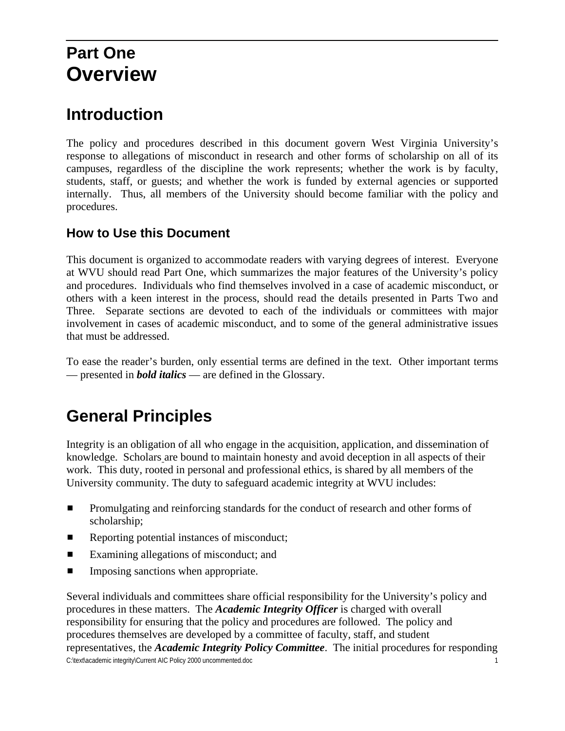### <span id="page-5-0"></span>**Part One Overview**

### **Introduction**

The policy and procedures described in this document govern West Virginia University's response to allegations of misconduct in research and other forms of scholarship on all of its campuses, regardless of the discipline the work represents; whether the work is by faculty, students, staff, or guests; and whether the work is funded by external agencies or supported internally. Thus, all members of the University should become familiar with the policy and procedures.

#### **How to Use this Document**

This document is organized to accommodate readers with varying degrees of interest. Everyone at WVU should read Part One, which summarizes the major features of the University's policy and procedures. Individuals who find themselves involved in a case of academic misconduct, or others with a keen interest in the process, should read the details presented in Parts Two and Three. Separate sections are devoted to each of the individuals or committees with major involvement in cases of academic misconduct, and to some of the general administrative issues that must be addressed.

To ease the reader's burden, only essential terms are defined in the text. Other important terms — presented in *bold italics* — are defined in the Glossary.

### **General Principles**

Integrity is an obligation of all who engage in the acquisition, application, and dissemination of knowledge. Scholars are bound to maintain honesty and avoid deception in all aspects of their work. This duty, rooted in personal and professional ethics, is shared by all members of the University community. The duty to safeguard academic integrity at WVU includes:

- **EXECUTE:** Promulgating and reinforcing standards for the conduct of research and other forms of scholarship;
- **EXECUTE:** Reporting potential instances of misconduct;
- $\blacksquare$  Examining allegations of misconduct; and
- **IMPOSITY** Imposing sanctions when appropriate.

C:\text\academic integrity\Current AIC Policy 2000 uncommented.doc 1 Several individuals and committees share official responsibility for the University's policy and procedures in these matters. The *Academic Integrity Officer* is charged with overall responsibility for ensuring that the policy and procedures are followed. The policy and procedures themselves are developed by a committee of faculty, staff, and student representatives, the *Academic Integrity Policy Committee*. The initial procedures for responding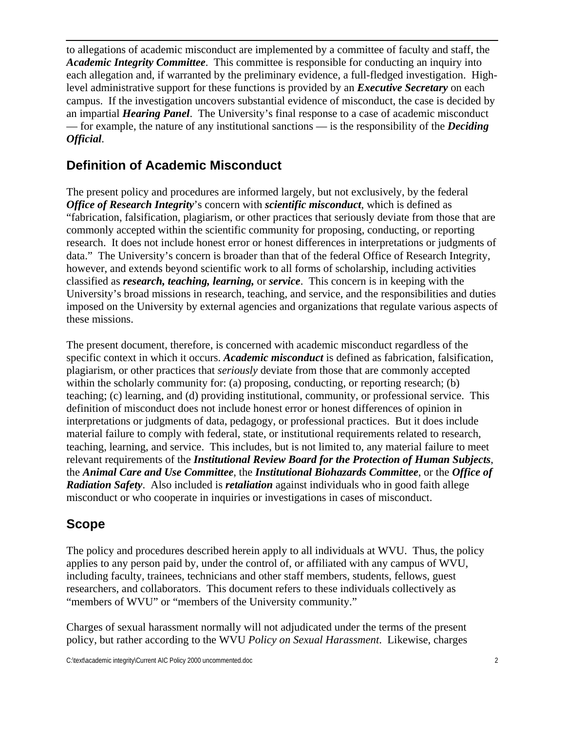<span id="page-6-0"></span>to allegations of academic misconduct are implemented by a committee of faculty and staff, the *Academic Integrity Committee*. This committee is responsible for conducting an inquiry into each allegation and, if warranted by the preliminary evidence, a full-fledged investigation. Highlevel administrative support for these functions is provided by an *Executive Secretary* on each campus. If the investigation uncovers substantial evidence of misconduct, the case is decided by an impartial *Hearing Panel*. The University's final response to a case of academic misconduct — for example, the nature of any institutional sanctions — is the responsibility of the *Deciding Official*.

#### **Definition of Academic Misconduct**

The present policy and procedures are informed largely, but not exclusively, by the federal *Office of Research Integrity*'s concern with *scientific misconduct*, which is defined as "fabrication, falsification, plagiarism, or other practices that seriously deviate from those that are commonly accepted within the scientific community for proposing, conducting, or reporting research. It does not include honest error or honest differences in interpretations or judgments of data." The University's concern is broader than that of the federal Office of Research Integrity, however, and extends beyond scientific work to all forms of scholarship, including activities classified as *research, teaching, learning,* or *service*. This concern is in keeping with the University's broad missions in research, teaching, and service, and the responsibilities and duties imposed on the University by external agencies and organizations that regulate various aspects of these missions.

The present document, therefore, is concerned with academic misconduct regardless of the specific context in which it occurs. *Academic misconduct* is defined as fabrication, falsification, plagiarism, or other practices that *seriously* deviate from those that are commonly accepted within the scholarly community for: (a) proposing, conducting, or reporting research; (b) teaching; (c) learning, and (d) providing institutional, community, or professional service. This definition of misconduct does not include honest error or honest differences of opinion in interpretations or judgments of data, pedagogy, or professional practices. But it does include material failure to comply with federal, state, or institutional requirements related to research, teaching, learning, and service. This includes, but is not limited to, any material failure to meet relevant requirements of the *Institutional Review Board for the Protection of Human Subjects*, the *Animal Care and Use Committee*, the *Institutional Biohazards Committee*, or the *Office of Radiation Safety*. Also included is *retaliation* against individuals who in good faith allege misconduct or who cooperate in inquiries or investigations in cases of misconduct.

#### **Scope**

The policy and procedures described herein apply to all individuals at WVU. Thus, the policy applies to any person paid by, under the control of, or affiliated with any campus of WVU, including faculty, trainees, technicians and other staff members, students, fellows, guest researchers, and collaborators. This document refers to these individuals collectively as "members of WVU" or "members of the University community."

Charges of sexual harassment normally will not adjudicated under the terms of the present policy, but rather according to the WVU *Policy on Sexual Harassment*. Likewise, charges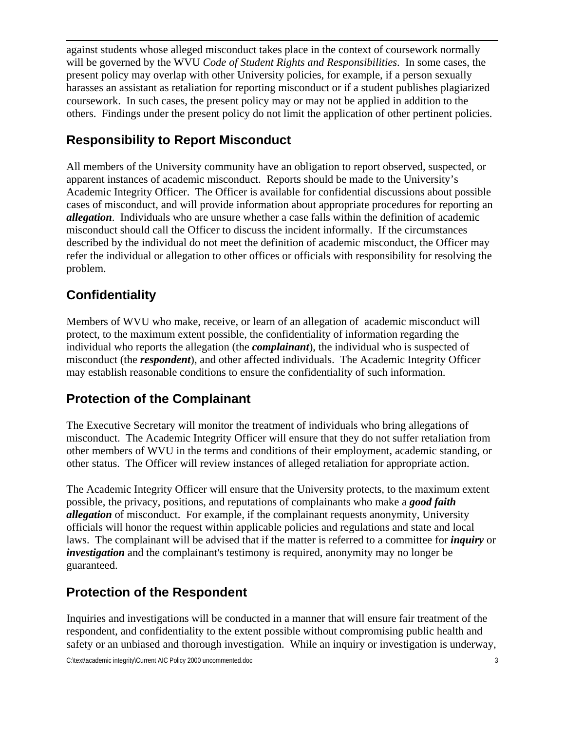<span id="page-7-0"></span>against students whose alleged misconduct takes place in the context of coursework normally will be governed by the WVU *Code of Student Rights and Responsibilities*. In some cases, the present policy may overlap with other University policies, for example, if a person sexually harasses an assistant as retaliation for reporting misconduct or if a student publishes plagiarized coursework. In such cases, the present policy may or may not be applied in addition to the others. Findings under the present policy do not limit the application of other pertinent policies.

#### **Responsibility to Report Misconduct**

All members of the University community have an obligation to report observed, suspected, or apparent instances of academic misconduct. Reports should be made to the University's Academic Integrity Officer. The Officer is available for confidential discussions about possible cases of misconduct, and will provide information about appropriate procedures for reporting an *allegation*. Individuals who are unsure whether a case falls within the definition of academic misconduct should call the Officer to discuss the incident informally. If the circumstances described by the individual do not meet the definition of academic misconduct, the Officer may refer the individual or allegation to other offices or officials with responsibility for resolving the problem.

#### **Confidentiality**

Members of WVU who make, receive, or learn of an allegation of academic misconduct will protect, to the maximum extent possible, the confidentiality of information regarding the individual who reports the allegation (the *complainant*), the individual who is suspected of misconduct (the *respondent*), and other affected individuals. The Academic Integrity Officer may establish reasonable conditions to ensure the confidentiality of such information.

#### **Protection of the Complainant**

The Executive Secretary will monitor the treatment of individuals who bring allegations of misconduct. The Academic Integrity Officer will ensure that they do not suffer retaliation from other members of WVU in the terms and conditions of their employment, academic standing, or other status. The Officer will review instances of alleged retaliation for appropriate action.

The Academic Integrity Officer will ensure that the University protects, to the maximum extent possible, the privacy, positions, and reputations of complainants who make a *good faith allegation* of misconduct. For example, if the complainant requests anonymity, University officials will honor the request within applicable policies and regulations and state and local laws. The complainant will be advised that if the matter is referred to a committee for *inquiry* or *investigation* and the complainant's testimony is required, anonymity may no longer be guaranteed.

#### **Protection of the Respondent**

Inquiries and investigations will be conducted in a manner that will ensure fair treatment of the respondent, and confidentiality to the extent possible without compromising public health and safety or an unbiased and thorough investigation. While an inquiry or investigation is underway,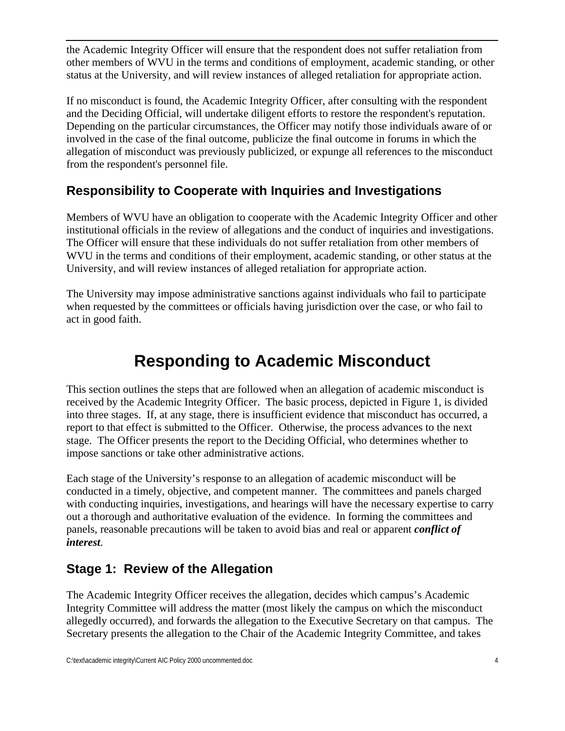<span id="page-8-0"></span>the Academic Integrity Officer will ensure that the respondent does not suffer retaliation from other members of WVU in the terms and conditions of employment, academic standing, or other status at the University, and will review instances of alleged retaliation for appropriate action.

If no misconduct is found, the Academic Integrity Officer, after consulting with the respondent and the Deciding Official, will undertake diligent efforts to restore the respondent's reputation. Depending on the particular circumstances, the Officer may notify those individuals aware of or involved in the case of the final outcome, publicize the final outcome in forums in which the allegation of misconduct was previously publicized, or expunge all references to the misconduct from the respondent's personnel file.

#### **Responsibility to Cooperate with Inquiries and Investigations**

Members of WVU have an obligation to cooperate with the Academic Integrity Officer and other institutional officials in the review of allegations and the conduct of inquiries and investigations. The Officer will ensure that these individuals do not suffer retaliation from other members of WVU in the terms and conditions of their employment, academic standing, or other status at the University, and will review instances of alleged retaliation for appropriate action.

The University may impose administrative sanctions against individuals who fail to participate when requested by the committees or officials having jurisdiction over the case, or who fail to act in good faith.

### **Responding to Academic Misconduct**

This section outlines the steps that are followed when an allegation of academic misconduct is received by the Academic Integrity Officer. The basic process, depicted in Figure 1, is divided into three stages. If, at any stage, there is insufficient evidence that misconduct has occurred, a report to that effect is submitted to the Officer. Otherwise, the process advances to the next stage. The Officer presents the report to the Deciding Official, who determines whether to impose sanctions or take other administrative actions.

Each stage of the University's response to an allegation of academic misconduct will be conducted in a timely, objective, and competent manner. The committees and panels charged with conducting inquiries, investigations, and hearings will have the necessary expertise to carry out a thorough and authoritative evaluation of the evidence. In forming the committees and panels, reasonable precautions will be taken to avoid bias and real or apparent *conflict of interest*.

#### **Stage 1: Review of the Allegation**

The Academic Integrity Officer receives the allegation, decides which campus's Academic Integrity Committee will address the matter (most likely the campus on which the misconduct allegedly occurred), and forwards the allegation to the Executive Secretary on that campus. The Secretary presents the allegation to the Chair of the Academic Integrity Committee, and takes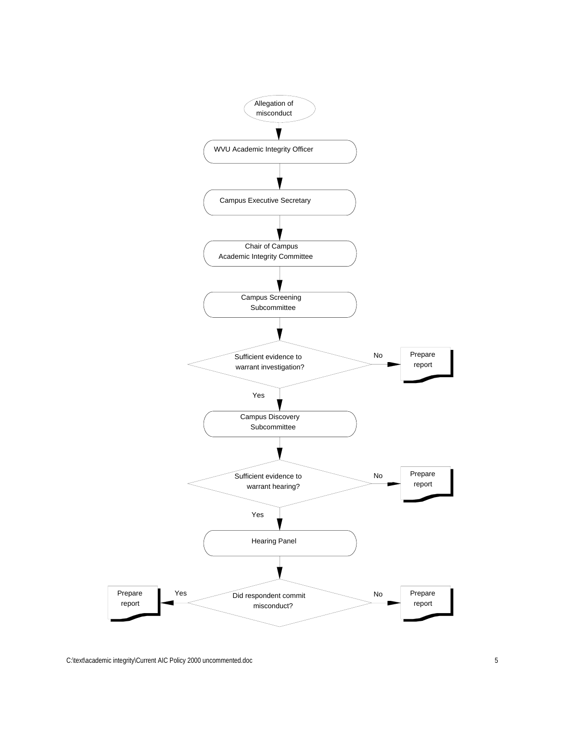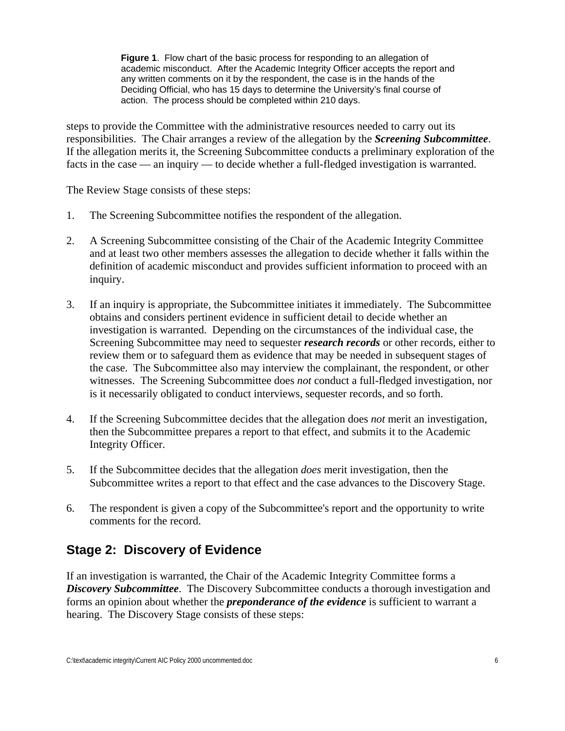<span id="page-10-0"></span>**Figure 1**. Flow chart of the basic process for responding to an allegation of academic misconduct. After the Academic Integrity Officer accepts the report and any written comments on it by the respondent, the case is in the hands of the Deciding Official, who has 15 days to determine the University's final course of action. The process should be completed within 210 days.

steps to provide the Committee with the administrative resources needed to carry out its responsibilities. The Chair arranges a review of the allegation by the *Screening Subcommittee*. If the allegation merits it, the Screening Subcommittee conducts a preliminary exploration of the facts in the case — an inquiry — to decide whether a full-fledged investigation is warranted.

The Review Stage consists of these steps:

- 1. The Screening Subcommittee notifies the respondent of the allegation.
- 2. A Screening Subcommittee consisting of the Chair of the Academic Integrity Committee and at least two other members assesses the allegation to decide whether it falls within the definition of academic misconduct and provides sufficient information to proceed with an inquiry.
- 3. If an inquiry is appropriate, the Subcommittee initiates it immediately. The Subcommittee obtains and considers pertinent evidence in sufficient detail to decide whether an investigation is warranted. Depending on the circumstances of the individual case, the Screening Subcommittee may need to sequester *research records* or other records, either to review them or to safeguard them as evidence that may be needed in subsequent stages of the case. The Subcommittee also may interview the complainant, the respondent, or other witnesses. The Screening Subcommittee does *not* conduct a full-fledged investigation, nor is it necessarily obligated to conduct interviews, sequester records, and so forth.
- 4. If the Screening Subcommittee decides that the allegation does *not* merit an investigation, then the Subcommittee prepares a report to that effect, and submits it to the Academic Integrity Officer.
- 5. If the Subcommittee decides that the allegation *does* merit investigation, then the Subcommittee writes a report to that effect and the case advances to the Discovery Stage.
- 6. The respondent is given a copy of the Subcommittee's report and the opportunity to write comments for the record.

#### **Stage 2: Discovery of Evidence**

If an investigation is warranted, the Chair of the Academic Integrity Committee forms a *Discovery Subcommittee*. The Discovery Subcommittee conducts a thorough investigation and forms an opinion about whether the *preponderance of the evidence* is sufficient to warrant a hearing. The Discovery Stage consists of these steps: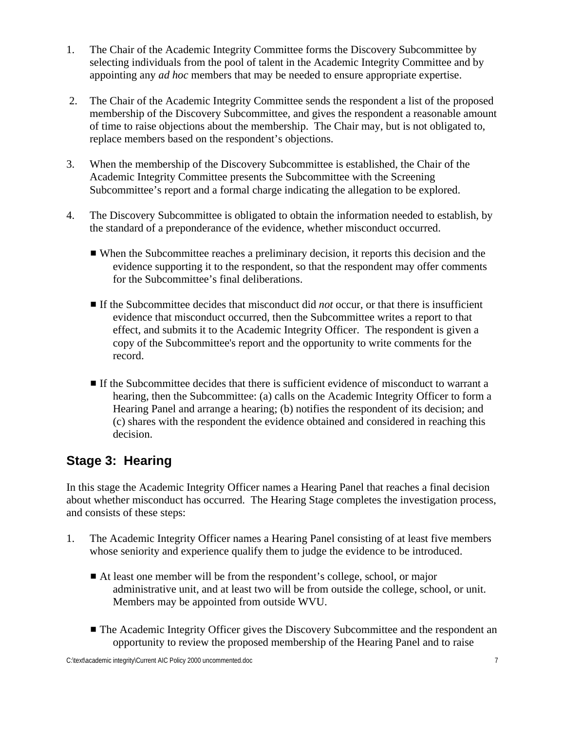- <span id="page-11-0"></span>1. The Chair of the Academic Integrity Committee forms the Discovery Subcommittee by selecting individuals from the pool of talent in the Academic Integrity Committee and by appointing any *ad hoc* members that may be needed to ensure appropriate expertise.
- 2. The Chair of the Academic Integrity Committee sends the respondent a list of the proposed membership of the Discovery Subcommittee, and gives the respondent a reasonable amount of time to raise objections about the membership. The Chair may, but is not obligated to, replace members based on the respondent's objections.
- 3. When the membership of the Discovery Subcommittee is established, the Chair of the Academic Integrity Committee presents the Subcommittee with the Screening Subcommittee's report and a formal charge indicating the allegation to be explored.
- 4. The Discovery Subcommittee is obligated to obtain the information needed to establish, by the standard of a preponderance of the evidence, whether misconduct occurred.
	- When the Subcommittee reaches a preliminary decision, it reports this decision and the evidence supporting it to the respondent, so that the respondent may offer comments for the Subcommittee's final deliberations.
	- **If the Subcommittee decides that misconduct did** *not* **occur, or that there is insufficient** evidence that misconduct occurred, then the Subcommittee writes a report to that effect, and submits it to the Academic Integrity Officer. The respondent is given a copy of the Subcommittee's report and the opportunity to write comments for the record.
	- $\blacksquare$  If the Subcommittee decides that there is sufficient evidence of misconduct to warrant a hearing, then the Subcommittee: (a) calls on the Academic Integrity Officer to form a Hearing Panel and arrange a hearing; (b) notifies the respondent of its decision; and (c) shares with the respondent the evidence obtained and considered in reaching this decision.

#### **Stage 3: Hearing**

In this stage the Academic Integrity Officer names a Hearing Panel that reaches a final decision about whether misconduct has occurred. The Hearing Stage completes the investigation process, and consists of these steps:

- 1. The Academic Integrity Officer names a Hearing Panel consisting of at least five members whose seniority and experience qualify them to judge the evidence to be introduced.
	- At least one member will be from the respondent's college, school, or major administrative unit, and at least two will be from outside the college, school, or unit. Members may be appointed from outside WVU.
	- The Academic Integrity Officer gives the Discovery Subcommittee and the respondent an opportunity to review the proposed membership of the Hearing Panel and to raise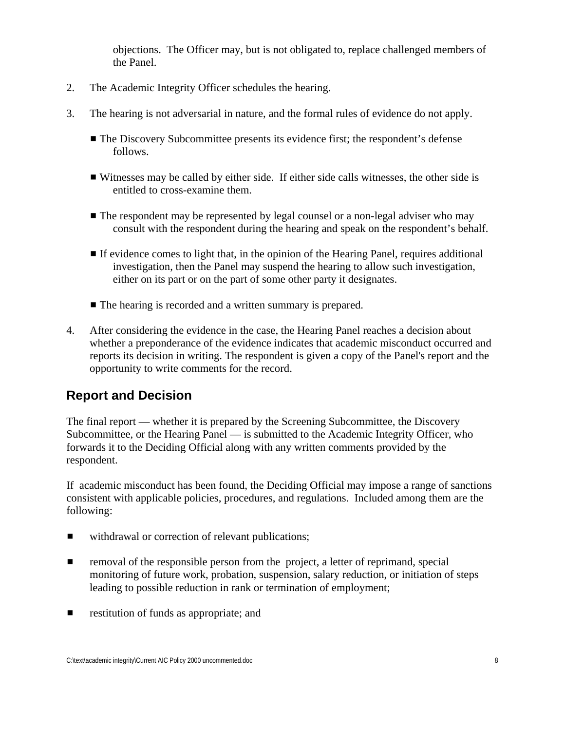objections. The Officer may, but is not obligated to, replace challenged members of the Panel.

- <span id="page-12-0"></span>2. The Academic Integrity Officer schedules the hearing.
- 3. The hearing is not adversarial in nature, and the formal rules of evidence do not apply.
	- $\blacksquare$  The Discovery Subcommittee presents its evidence first; the respondent's defense follows.
	- $\blacksquare$  Witnesses may be called by either side. If either side calls witnesses, the other side is entitled to cross-examine them.
	- $\blacksquare$  The respondent may be represented by legal counsel or a non-legal adviser who may consult with the respondent during the hearing and speak on the respondent's behalf.
	- **If evidence comes to light that, in the opinion of the Hearing Panel, requires additional** investigation, then the Panel may suspend the hearing to allow such investigation, either on its part or on the part of some other party it designates.
	- $\blacksquare$  The hearing is recorded and a written summary is prepared.
- 4. After considering the evidence in the case, the Hearing Panel reaches a decision about whether a preponderance of the evidence indicates that academic misconduct occurred and reports its decision in writing. The respondent is given a copy of the Panel's report and the opportunity to write comments for the record.

#### **Report and Decision**

The final report — whether it is prepared by the Screening Subcommittee, the Discovery Subcommittee, or the Hearing Panel — is submitted to the Academic Integrity Officer, who forwards it to the Deciding Official along with any written comments provided by the respondent.

If academic misconduct has been found, the Deciding Official may impose a range of sanctions consistent with applicable policies, procedures, and regulations. Included among them are the following:

- withdrawal or correction of relevant publications;
- $\blacksquare$  removal of the responsible person from the project, a letter of reprimand, special monitoring of future work, probation, suspension, salary reduction, or initiation of steps leading to possible reduction in rank or termination of employment;
- $\blacksquare$  restitution of funds as appropriate; and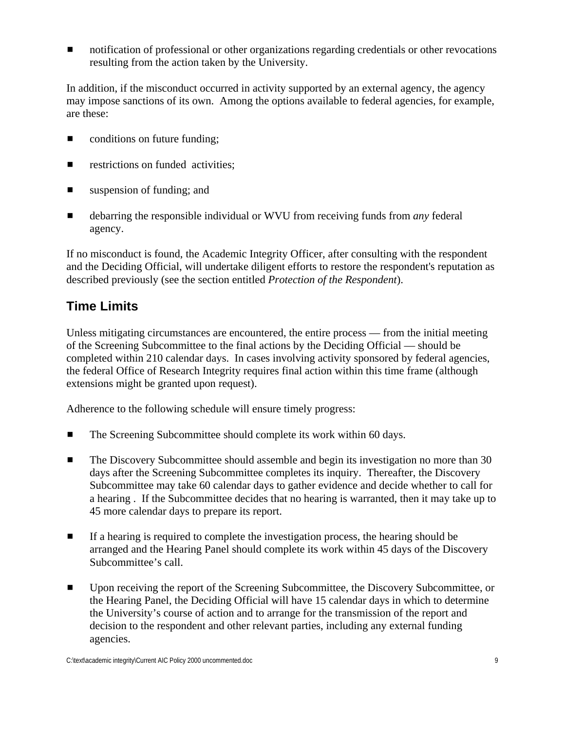<span id="page-13-0"></span>**In** notification of professional or other organizations regarding credentials or other revocations resulting from the action taken by the University.

In addition, if the misconduct occurred in activity supported by an external agency, the agency may impose sanctions of its own. Among the options available to federal agencies, for example, are these:

- $\Box$  conditions on future funding;
- $\blacksquare$  restrictions on funded activities;
- $\blacksquare$  suspension of funding; and
- **E** debarring the responsible individual or WVU from receiving funds from *any* federal agency.

If no misconduct is found, the Academic Integrity Officer, after consulting with the respondent and the Deciding Official, will undertake diligent efforts to restore the respondent's reputation as described previously (see the section entitled *Protection of the Respondent*).

#### **Time Limits**

Unless mitigating circumstances are encountered, the entire process — from the initial meeting of the Screening Subcommittee to the final actions by the Deciding Official — should be completed within 210 calendar days. In cases involving activity sponsored by federal agencies, the federal Office of Research Integrity requires final action within this time frame (although extensions might be granted upon request).

Adherence to the following schedule will ensure timely progress:

- The Screening Subcommittee should complete its work within 60 days.
- **EXECUTE:** The Discovery Subcommittee should assemble and begin its investigation no more than 30 days after the Screening Subcommittee completes its inquiry. Thereafter, the Discovery Subcommittee may take 60 calendar days to gather evidence and decide whether to call for a hearing . If the Subcommittee decides that no hearing is warranted, then it may take up to 45 more calendar days to prepare its report.
- **If a hearing is required to complete the investigation process, the hearing should be** arranged and the Hearing Panel should complete its work within 45 days of the Discovery Subcommittee's call.
- **EXECUTE:** Upon receiving the report of the Screening Subcommittee, the Discovery Subcommittee, or the Hearing Panel, the Deciding Official will have 15 calendar days in which to determine the University's course of action and to arrange for the transmission of the report and decision to the respondent and other relevant parties, including any external funding agencies.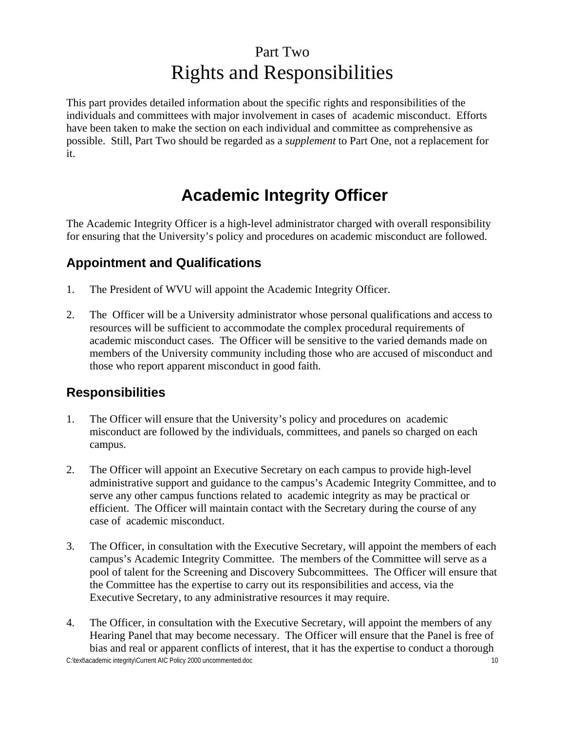### Part Two Rights and Responsibilities

<span id="page-14-0"></span>This part provides detailed information about the specific rights and responsibilities of the individuals and committees with major involvement in cases of academic misconduct. Efforts have been taken to make the section on each individual and committee as comprehensive as possible. Still, Part Two should be regarded as a *supplement* to Part One, not a replacement for it.

### **Academic Integrity Officer**

The Academic Integrity Officer is a high-level administrator charged with overall responsibility for ensuring that the University's policy and procedures on academic misconduct are followed.

#### **Appointment and Qualifications**

- 1. The President of WVU will appoint the Academic Integrity Officer.
- 2. The Officer will be a University administrator whose personal qualifications and access to resources will be sufficient to accommodate the complex procedural requirements of academic misconduct cases. The Officer will be sensitive to the varied demands made on members of the University community including those who are accused of misconduct and those who report apparent misconduct in good faith.

#### **Responsibilities**

- 1. The Officer will ensure that the University's policy and procedures on academic misconduct are followed by the individuals, committees, and panels so charged on each campus.
- 2. The Officer will appoint an Executive Secretary on each campus to provide high-level administrative support and guidance to the campus's Academic Integrity Committee, and to serve any other campus functions related to academic integrity as may be practical or efficient. The Officer will maintain contact with the Secretary during the course of any case of academic misconduct.
- 3. The Officer, in consultation with the Executive Secretary, will appoint the members of each campus's Academic Integrity Committee. The members of the Committee will serve as a pool of talent for the Screening and Discovery Subcommittees. The Officer will ensure that the Committee has the expertise to carry out its responsibilities and access, via the Executive Secretary, to any administrative resources it may require.
- C:\text\academic integrity\Current AIC Policy 2000 uncommented.doc 10 4. The Officer, in consultation with the Executive Secretary, will appoint the members of any Hearing Panel that may become necessary. The Officer will ensure that the Panel is free of bias and real or apparent conflicts of interest, that it has the expertise to conduct a thorough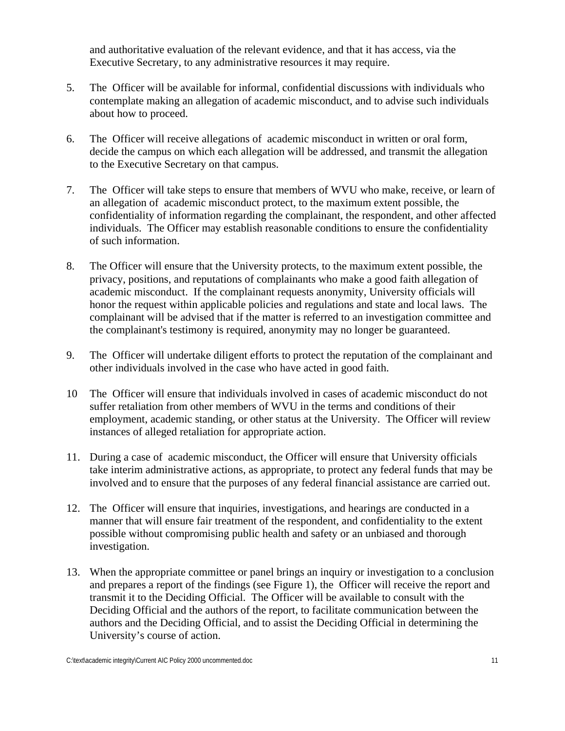and authoritative evaluation of the relevant evidence, and that it has access, via the Executive Secretary, to any administrative resources it may require.

- 5. The Officer will be available for informal, confidential discussions with individuals who contemplate making an allegation of academic misconduct, and to advise such individuals about how to proceed.
- 6. The Officer will receive allegations of academic misconduct in written or oral form, decide the campus on which each allegation will be addressed, and transmit the allegation to the Executive Secretary on that campus.
- 7. The Officer will take steps to ensure that members of WVU who make, receive, or learn of an allegation of academic misconduct protect, to the maximum extent possible, the confidentiality of information regarding the complainant, the respondent, and other affected individuals. The Officer may establish reasonable conditions to ensure the confidentiality of such information.
- 8. The Officer will ensure that the University protects, to the maximum extent possible, the privacy, positions, and reputations of complainants who make a good faith allegation of academic misconduct. If the complainant requests anonymity, University officials will honor the request within applicable policies and regulations and state and local laws. The complainant will be advised that if the matter is referred to an investigation committee and the complainant's testimony is required, anonymity may no longer be guaranteed.
- 9. The Officer will undertake diligent efforts to protect the reputation of the complainant and other individuals involved in the case who have acted in good faith.
- 10 The Officer will ensure that individuals involved in cases of academic misconduct do not suffer retaliation from other members of WVU in the terms and conditions of their employment, academic standing, or other status at the University. The Officer will review instances of alleged retaliation for appropriate action.
- 11. During a case of academic misconduct, the Officer will ensure that University officials take interim administrative actions, as appropriate, to protect any federal funds that may be involved and to ensure that the purposes of any federal financial assistance are carried out.
- 12. The Officer will ensure that inquiries, investigations, and hearings are conducted in a manner that will ensure fair treatment of the respondent, and confidentiality to the extent possible without compromising public health and safety or an unbiased and thorough investigation.
- 13. When the appropriate committee or panel brings an inquiry or investigation to a conclusion and prepares a report of the findings (see Figure 1), the Officer will receive the report and transmit it to the Deciding Official. The Officer will be available to consult with the Deciding Official and the authors of the report, to facilitate communication between the authors and the Deciding Official, and to assist the Deciding Official in determining the University's course of action.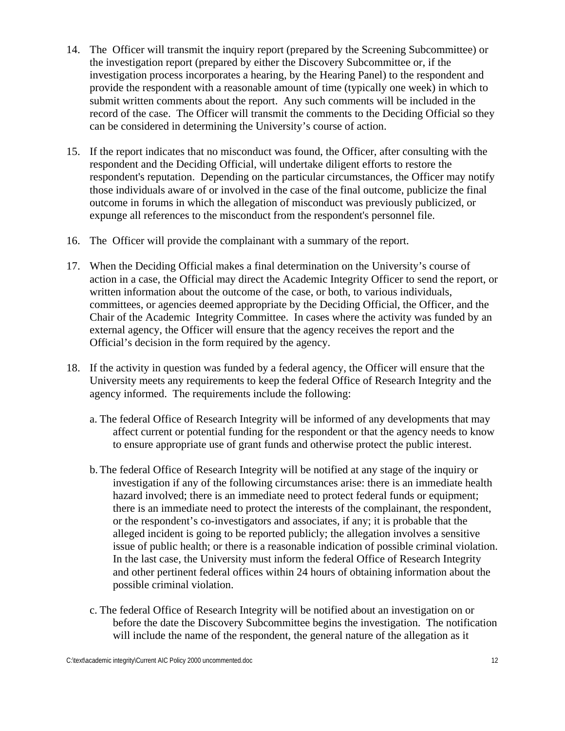- 14. The Officer will transmit the inquiry report (prepared by the Screening Subcommittee) or the investigation report (prepared by either the Discovery Subcommittee or, if the investigation process incorporates a hearing, by the Hearing Panel) to the respondent and provide the respondent with a reasonable amount of time (typically one week) in which to submit written comments about the report. Any such comments will be included in the record of the case. The Officer will transmit the comments to the Deciding Official so they can be considered in determining the University's course of action.
- 15. If the report indicates that no misconduct was found, the Officer, after consulting with the respondent and the Deciding Official, will undertake diligent efforts to restore the respondent's reputation. Depending on the particular circumstances, the Officer may notify those individuals aware of or involved in the case of the final outcome, publicize the final outcome in forums in which the allegation of misconduct was previously publicized, or expunge all references to the misconduct from the respondent's personnel file.
- 16. The Officer will provide the complainant with a summary of the report.
- 17. When the Deciding Official makes a final determination on the University's course of action in a case, the Official may direct the Academic Integrity Officer to send the report, or written information about the outcome of the case, or both, to various individuals, committees, or agencies deemed appropriate by the Deciding Official, the Officer, and the Chair of the Academic Integrity Committee. In cases where the activity was funded by an external agency, the Officer will ensure that the agency receives the report and the Official's decision in the form required by the agency.
- 18. If the activity in question was funded by a federal agency, the Officer will ensure that the University meets any requirements to keep the federal Office of Research Integrity and the agency informed. The requirements include the following:
	- a. The federal Office of Research Integrity will be informed of any developments that may affect current or potential funding for the respondent or that the agency needs to know to ensure appropriate use of grant funds and otherwise protect the public interest.
	- b. The federal Office of Research Integrity will be notified at any stage of the inquiry or investigation if any of the following circumstances arise: there is an immediate health hazard involved; there is an immediate need to protect federal funds or equipment; there is an immediate need to protect the interests of the complainant, the respondent, or the respondent's co-investigators and associates, if any; it is probable that the alleged incident is going to be reported publicly; the allegation involves a sensitive issue of public health; or there is a reasonable indication of possible criminal violation. In the last case, the University must inform the federal Office of Research Integrity and other pertinent federal offices within 24 hours of obtaining information about the possible criminal violation.
	- c. The federal Office of Research Integrity will be notified about an investigation on or before the date the Discovery Subcommittee begins the investigation. The notification will include the name of the respondent, the general nature of the allegation as it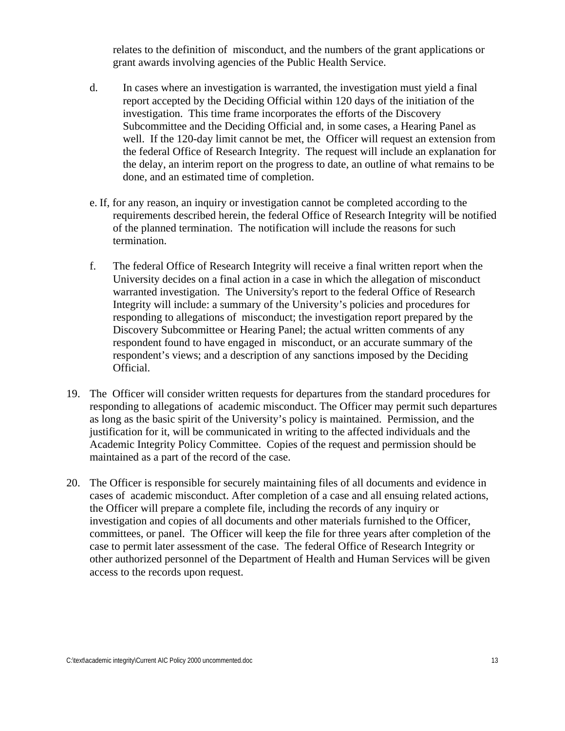relates to the definition of misconduct, and the numbers of the grant applications or grant awards involving agencies of the Public Health Service.

- d. In cases where an investigation is warranted, the investigation must yield a final report accepted by the Deciding Official within 120 days of the initiation of the investigation. This time frame incorporates the efforts of the Discovery Subcommittee and the Deciding Official and, in some cases, a Hearing Panel as well. If the 120-day limit cannot be met, the Officer will request an extension from the federal Office of Research Integrity. The request will include an explanation for the delay, an interim report on the progress to date, an outline of what remains to be done, and an estimated time of completion.
- e. If, for any reason, an inquiry or investigation cannot be completed according to the requirements described herein, the federal Office of Research Integrity will be notified of the planned termination. The notification will include the reasons for such termination.
- f. The federal Office of Research Integrity will receive a final written report when the University decides on a final action in a case in which the allegation of misconduct warranted investigation. The University's report to the federal Office of Research Integrity will include: a summary of the University's policies and procedures for responding to allegations of misconduct; the investigation report prepared by the Discovery Subcommittee or Hearing Panel; the actual written comments of any respondent found to have engaged in misconduct, or an accurate summary of the respondent's views; and a description of any sanctions imposed by the Deciding Official.
- 19. The Officer will consider written requests for departures from the standard procedures for responding to allegations of academic misconduct. The Officer may permit such departures as long as the basic spirit of the University's policy is maintained. Permission, and the justification for it, will be communicated in writing to the affected individuals and the Academic Integrity Policy Committee. Copies of the request and permission should be maintained as a part of the record of the case.
- 20. The Officer is responsible for securely maintaining files of all documents and evidence in cases of academic misconduct. After completion of a case and all ensuing related actions, the Officer will prepare a complete file, including the records of any inquiry or investigation and copies of all documents and other materials furnished to the Officer, committees, or panel. The Officer will keep the file for three years after completion of the case to permit later assessment of the case. The federal Office of Research Integrity or other authorized personnel of the Department of Health and Human Services will be given access to the records upon request.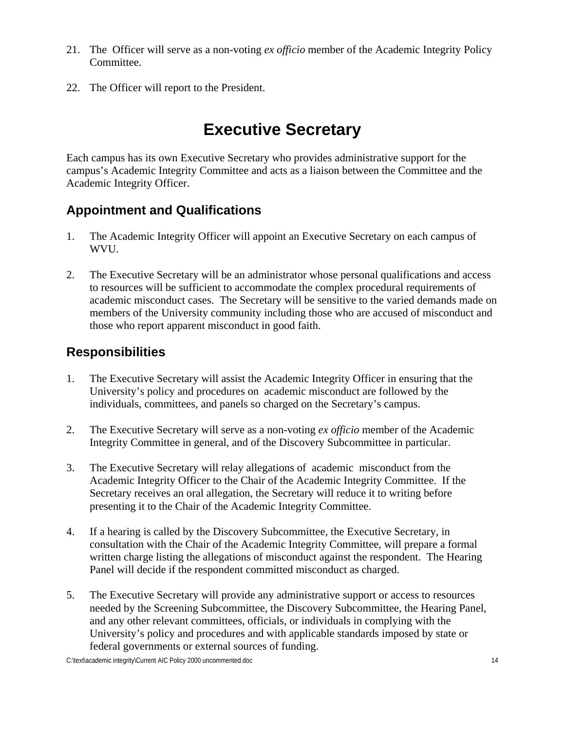- <span id="page-18-0"></span>21. The Officer will serve as a non-voting *ex officio* member of the Academic Integrity Policy Committee.
- 22. The Officer will report to the President.

### **Executive Secretary**

Each campus has its own Executive Secretary who provides administrative support for the campus's Academic Integrity Committee and acts as a liaison between the Committee and the Academic Integrity Officer.

#### **Appointment and Qualifications**

- 1. The Academic Integrity Officer will appoint an Executive Secretary on each campus of WVU.
- 2. The Executive Secretary will be an administrator whose personal qualifications and access to resources will be sufficient to accommodate the complex procedural requirements of academic misconduct cases. The Secretary will be sensitive to the varied demands made on members of the University community including those who are accused of misconduct and those who report apparent misconduct in good faith.

#### **Responsibilities**

- 1. The Executive Secretary will assist the Academic Integrity Officer in ensuring that the University's policy and procedures on academic misconduct are followed by the individuals, committees, and panels so charged on the Secretary's campus.
- 2. The Executive Secretary will serve as a non-voting *ex officio* member of the Academic Integrity Committee in general, and of the Discovery Subcommittee in particular.
- 3. The Executive Secretary will relay allegations of academic misconduct from the Academic Integrity Officer to the Chair of the Academic Integrity Committee. If the Secretary receives an oral allegation, the Secretary will reduce it to writing before presenting it to the Chair of the Academic Integrity Committee.
- 4. If a hearing is called by the Discovery Subcommittee, the Executive Secretary, in consultation with the Chair of the Academic Integrity Committee, will prepare a formal written charge listing the allegations of misconduct against the respondent. The Hearing Panel will decide if the respondent committed misconduct as charged.
- 5. The Executive Secretary will provide any administrative support or access to resources needed by the Screening Subcommittee, the Discovery Subcommittee, the Hearing Panel, and any other relevant committees, officials, or individuals in complying with the University's policy and procedures and with applicable standards imposed by state or federal governments or external sources of funding.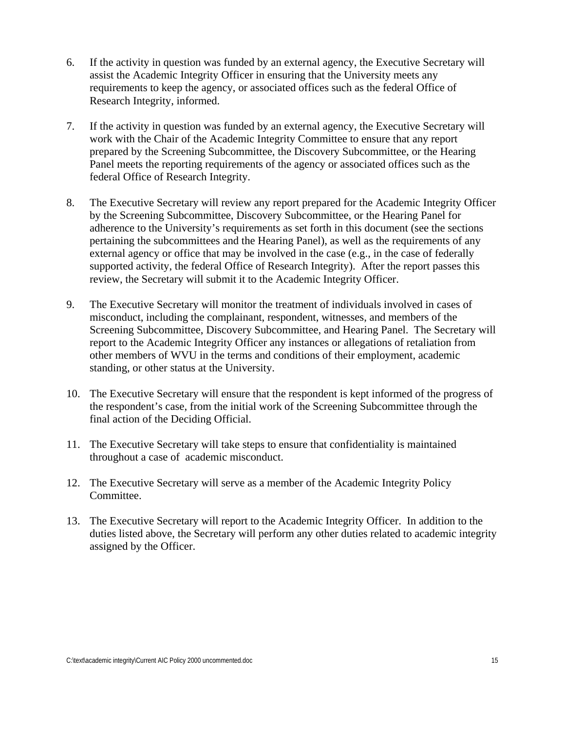- 6. If the activity in question was funded by an external agency, the Executive Secretary will assist the Academic Integrity Officer in ensuring that the University meets any requirements to keep the agency, or associated offices such as the federal Office of Research Integrity, informed.
- 7. If the activity in question was funded by an external agency, the Executive Secretary will work with the Chair of the Academic Integrity Committee to ensure that any report prepared by the Screening Subcommittee, the Discovery Subcommittee, or the Hearing Panel meets the reporting requirements of the agency or associated offices such as the federal Office of Research Integrity.
- 8. The Executive Secretary will review any report prepared for the Academic Integrity Officer by the Screening Subcommittee, Discovery Subcommittee, or the Hearing Panel for adherence to the University's requirements as set forth in this document (see the sections pertaining the subcommittees and the Hearing Panel), as well as the requirements of any external agency or office that may be involved in the case (e.g., in the case of federally supported activity, the federal Office of Research Integrity). After the report passes this review, the Secretary will submit it to the Academic Integrity Officer.
- 9. The Executive Secretary will monitor the treatment of individuals involved in cases of misconduct, including the complainant, respondent, witnesses, and members of the Screening Subcommittee, Discovery Subcommittee, and Hearing Panel. The Secretary will report to the Academic Integrity Officer any instances or allegations of retaliation from other members of WVU in the terms and conditions of their employment, academic standing, or other status at the University.
- 10. The Executive Secretary will ensure that the respondent is kept informed of the progress of the respondent's case, from the initial work of the Screening Subcommittee through the final action of the Deciding Official.
- 11. The Executive Secretary will take steps to ensure that confidentiality is maintained throughout a case of academic misconduct.
- 12. The Executive Secretary will serve as a member of the Academic Integrity Policy Committee.
- 13. The Executive Secretary will report to the Academic Integrity Officer. In addition to the duties listed above, the Secretary will perform any other duties related to academic integrity assigned by the Officer.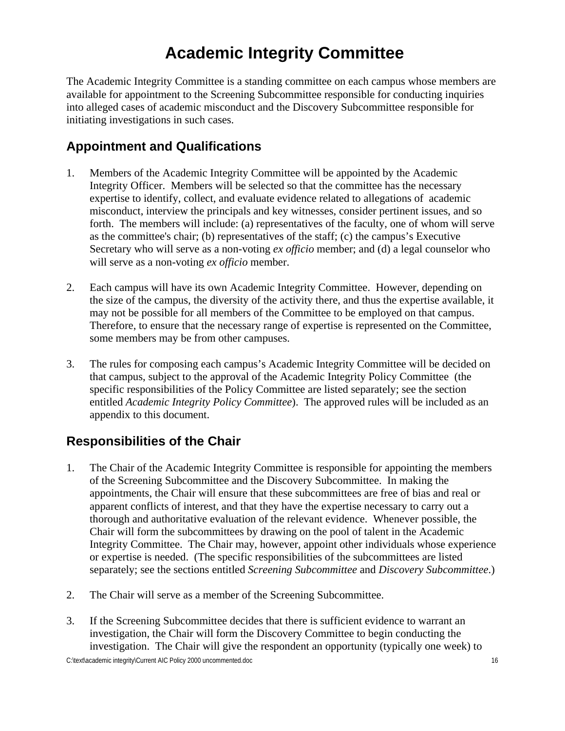### **Academic Integrity Committee**

<span id="page-20-0"></span>The Academic Integrity Committee is a standing committee on each campus whose members are available for appointment to the Screening Subcommittee responsible for conducting inquiries into alleged cases of academic misconduct and the Discovery Subcommittee responsible for initiating investigations in such cases.

#### **Appointment and Qualifications**

- 1. Members of the Academic Integrity Committee will be appointed by the Academic Integrity Officer. Members will be selected so that the committee has the necessary expertise to identify, collect, and evaluate evidence related to allegations of academic misconduct, interview the principals and key witnesses, consider pertinent issues, and so forth. The members will include: (a) representatives of the faculty, one of whom will serve as the committee's chair; (b) representatives of the staff; (c) the campus's Executive Secretary who will serve as a non-voting *ex officio* member; and (d) a legal counselor who will serve as a non-voting *ex officio* member.
- 2. Each campus will have its own Academic Integrity Committee. However, depending on the size of the campus, the diversity of the activity there, and thus the expertise available, it may not be possible for all members of the Committee to be employed on that campus. Therefore, to ensure that the necessary range of expertise is represented on the Committee, some members may be from other campuses.
- 3. The rules for composing each campus's Academic Integrity Committee will be decided on that campus, subject to the approval of the Academic Integrity Policy Committee (the specific responsibilities of the Policy Committee are listed separately; see the section entitled *Academic Integrity Policy Committee*). The approved rules will be included as an appendix to this document.

#### **Responsibilities of the Chair**

- 1. The Chair of the Academic Integrity Committee is responsible for appointing the members of the Screening Subcommittee and the Discovery Subcommittee. In making the appointments, the Chair will ensure that these subcommittees are free of bias and real or apparent conflicts of interest, and that they have the expertise necessary to carry out a thorough and authoritative evaluation of the relevant evidence. Whenever possible, the Chair will form the subcommittees by drawing on the pool of talent in the Academic Integrity Committee. The Chair may, however, appoint other individuals whose experience or expertise is needed. (The specific responsibilities of the subcommittees are listed separately; see the sections entitled *Screening Subcommittee* and *Discovery Subcommittee*.)
- 2. The Chair will serve as a member of the Screening Subcommittee.
- 3. If the Screening Subcommittee decides that there is sufficient evidence to warrant an investigation, the Chair will form the Discovery Committee to begin conducting the investigation. The Chair will give the respondent an opportunity (typically one week) to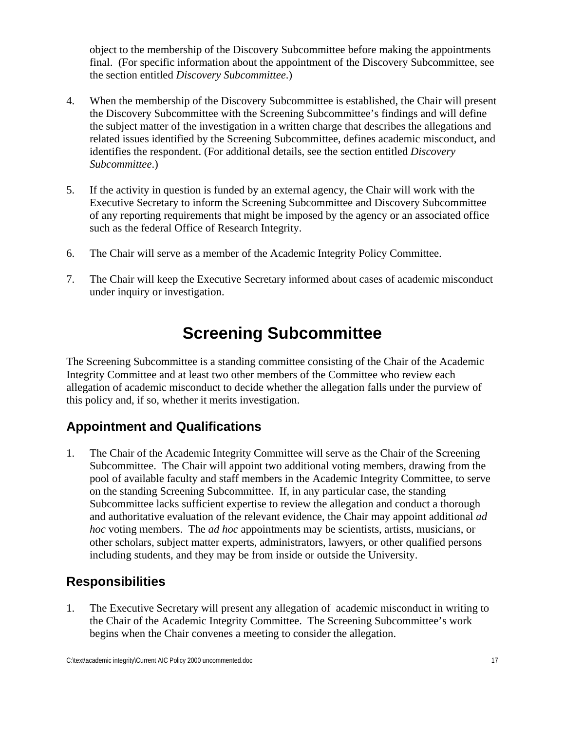<span id="page-21-0"></span>object to the membership of the Discovery Subcommittee before making the appointments final. (For specific information about the appointment of the Discovery Subcommittee, see the section entitled *Discovery Subcommittee*.)

- 4. When the membership of the Discovery Subcommittee is established, the Chair will present the Discovery Subcommittee with the Screening Subcommittee's findings and will define the subject matter of the investigation in a written charge that describes the allegations and related issues identified by the Screening Subcommittee, defines academic misconduct, and identifies the respondent. (For additional details, see the section entitled *Discovery Subcommittee*.)
- 5. If the activity in question is funded by an external agency, the Chair will work with the Executive Secretary to inform the Screening Subcommittee and Discovery Subcommittee of any reporting requirements that might be imposed by the agency or an associated office such as the federal Office of Research Integrity.
- 6. The Chair will serve as a member of the Academic Integrity Policy Committee.
- 7. The Chair will keep the Executive Secretary informed about cases of academic misconduct under inquiry or investigation.

### **Screening Subcommittee**

The Screening Subcommittee is a standing committee consisting of the Chair of the Academic Integrity Committee and at least two other members of the Committee who review each allegation of academic misconduct to decide whether the allegation falls under the purview of this policy and, if so, whether it merits investigation.

#### **Appointment and Qualifications**

1. The Chair of the Academic Integrity Committee will serve as the Chair of the Screening Subcommittee. The Chair will appoint two additional voting members, drawing from the pool of available faculty and staff members in the Academic Integrity Committee, to serve on the standing Screening Subcommittee. If, in any particular case, the standing Subcommittee lacks sufficient expertise to review the allegation and conduct a thorough and authoritative evaluation of the relevant evidence, the Chair may appoint additional *ad hoc* voting members. The *ad hoc* appointments may be scientists, artists, musicians, or other scholars, subject matter experts, administrators, lawyers, or other qualified persons including students, and they may be from inside or outside the University.

#### **Responsibilities**

1. The Executive Secretary will present any allegation of academic misconduct in writing to the Chair of the Academic Integrity Committee. The Screening Subcommittee's work begins when the Chair convenes a meeting to consider the allegation.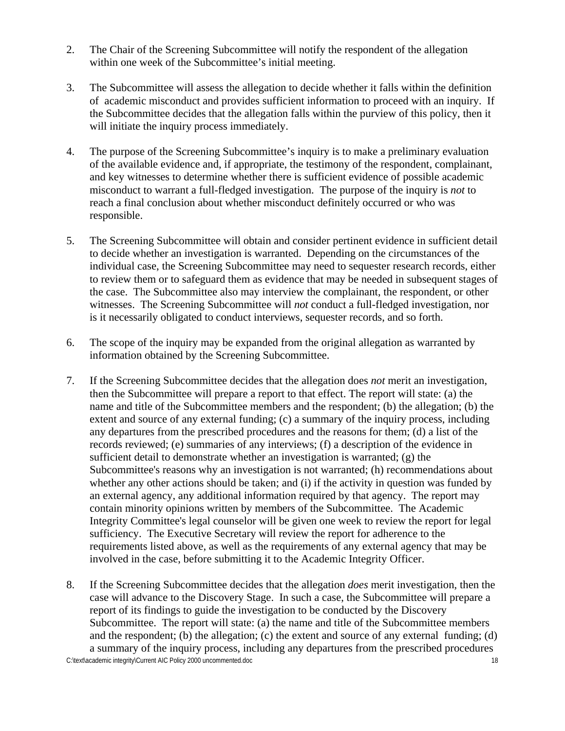- 2. The Chair of the Screening Subcommittee will notify the respondent of the allegation within one week of the Subcommittee's initial meeting.
- 3. The Subcommittee will assess the allegation to decide whether it falls within the definition of academic misconduct and provides sufficient information to proceed with an inquiry. If the Subcommittee decides that the allegation falls within the purview of this policy, then it will initiate the inquiry process immediately.
- 4. The purpose of the Screening Subcommittee's inquiry is to make a preliminary evaluation of the available evidence and, if appropriate, the testimony of the respondent, complainant, and key witnesses to determine whether there is sufficient evidence of possible academic misconduct to warrant a full-fledged investigation. The purpose of the inquiry is *not* to reach a final conclusion about whether misconduct definitely occurred or who was responsible.
- 5. The Screening Subcommittee will obtain and consider pertinent evidence in sufficient detail to decide whether an investigation is warranted. Depending on the circumstances of the individual case, the Screening Subcommittee may need to sequester research records, either to review them or to safeguard them as evidence that may be needed in subsequent stages of the case. The Subcommittee also may interview the complainant, the respondent, or other witnesses. The Screening Subcommittee will *not* conduct a full-fledged investigation, nor is it necessarily obligated to conduct interviews, sequester records, and so forth.
- 6. The scope of the inquiry may be expanded from the original allegation as warranted by information obtained by the Screening Subcommittee.
- 7. If the Screening Subcommittee decides that the allegation does *not* merit an investigation, then the Subcommittee will prepare a report to that effect. The report will state: (a) the name and title of the Subcommittee members and the respondent; (b) the allegation; (b) the extent and source of any external funding; (c) a summary of the inquiry process, including any departures from the prescribed procedures and the reasons for them; (d) a list of the records reviewed; (e) summaries of any interviews; (f) a description of the evidence in sufficient detail to demonstrate whether an investigation is warranted; (g) the Subcommittee's reasons why an investigation is not warranted; (h) recommendations about whether any other actions should be taken; and (i) if the activity in question was funded by an external agency, any additional information required by that agency. The report may contain minority opinions written by members of the Subcommittee. The Academic Integrity Committee's legal counselor will be given one week to review the report for legal sufficiency. The Executive Secretary will review the report for adherence to the requirements listed above, as well as the requirements of any external agency that may be involved in the case, before submitting it to the Academic Integrity Officer.
- 8. If the Screening Subcommittee decides that the allegation *does* merit investigation, then the case will advance to the Discovery Stage. In such a case, the Subcommittee will prepare a report of its findings to guide the investigation to be conducted by the Discovery Subcommittee. The report will state: (a) the name and title of the Subcommittee members and the respondent; (b) the allegation; (c) the extent and source of any external funding; (d) a summary of the inquiry process, including any departures from the prescribed procedures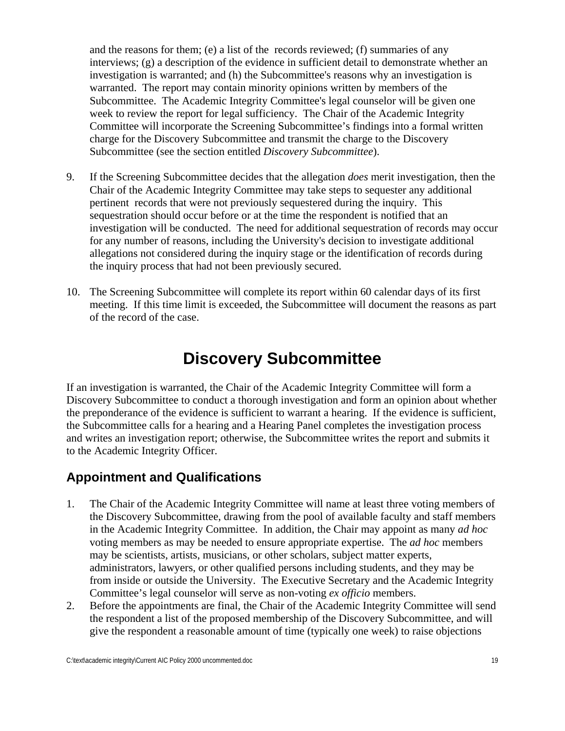<span id="page-23-0"></span>and the reasons for them; (e) a list of the records reviewed; (f) summaries of any interviews; (g) a description of the evidence in sufficient detail to demonstrate whether an investigation is warranted; and (h) the Subcommittee's reasons why an investigation is warranted. The report may contain minority opinions written by members of the Subcommittee. The Academic Integrity Committee's legal counselor will be given one week to review the report for legal sufficiency. The Chair of the Academic Integrity Committee will incorporate the Screening Subcommittee's findings into a formal written charge for the Discovery Subcommittee and transmit the charge to the Discovery Subcommittee (see the section entitled *Discovery Subcommittee*).

- 9. If the Screening Subcommittee decides that the allegation *does* merit investigation, then the Chair of the Academic Integrity Committee may take steps to sequester any additional pertinent records that were not previously sequestered during the inquiry. This sequestration should occur before or at the time the respondent is notified that an investigation will be conducted. The need for additional sequestration of records may occur for any number of reasons, including the University's decision to investigate additional allegations not considered during the inquiry stage or the identification of records during the inquiry process that had not been previously secured.
- 10. The Screening Subcommittee will complete its report within 60 calendar days of its first meeting. If this time limit is exceeded, the Subcommittee will document the reasons as part of the record of the case.

### **Discovery Subcommittee**

If an investigation is warranted, the Chair of the Academic Integrity Committee will form a Discovery Subcommittee to conduct a thorough investigation and form an opinion about whether the preponderance of the evidence is sufficient to warrant a hearing. If the evidence is sufficient, the Subcommittee calls for a hearing and a Hearing Panel completes the investigation process and writes an investigation report; otherwise, the Subcommittee writes the report and submits it to the Academic Integrity Officer.

#### **Appointment and Qualifications**

- 1. The Chair of the Academic Integrity Committee will name at least three voting members of the Discovery Subcommittee, drawing from the pool of available faculty and staff members in the Academic Integrity Committee. In addition, the Chair may appoint as many *ad hoc* voting members as may be needed to ensure appropriate expertise. The *ad hoc* members may be scientists, artists, musicians, or other scholars, subject matter experts, administrators, lawyers, or other qualified persons including students, and they may be from inside or outside the University. The Executive Secretary and the Academic Integrity Committee's legal counselor will serve as non-voting *ex officio* members.
- 2. Before the appointments are final, the Chair of the Academic Integrity Committee will send the respondent a list of the proposed membership of the Discovery Subcommittee, and will give the respondent a reasonable amount of time (typically one week) to raise objections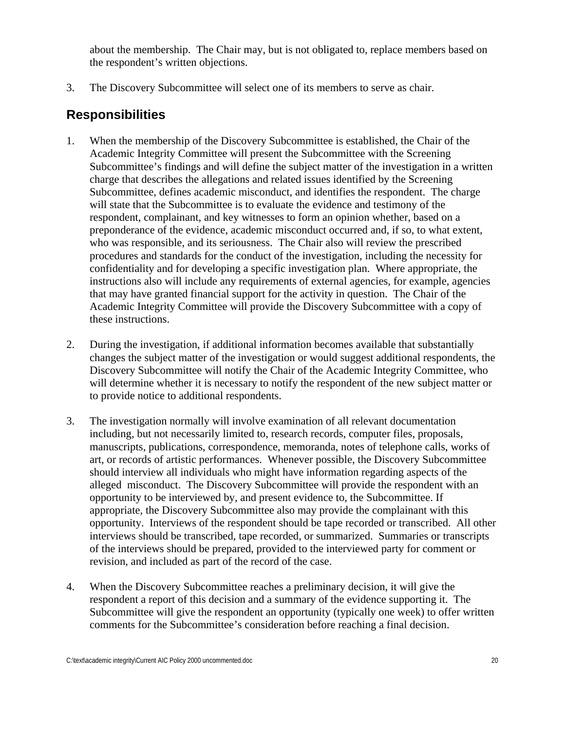about the membership. The Chair may, but is not obligated to, replace members based on the respondent's written objections.

3. The Discovery Subcommittee will select one of its members to serve as chair.

#### **Responsibilities**

- 1. When the membership of the Discovery Subcommittee is established, the Chair of the Academic Integrity Committee will present the Subcommittee with the Screening Subcommittee's findings and will define the subject matter of the investigation in a written charge that describes the allegations and related issues identified by the Screening Subcommittee, defines academic misconduct, and identifies the respondent. The charge will state that the Subcommittee is to evaluate the evidence and testimony of the respondent, complainant, and key witnesses to form an opinion whether, based on a preponderance of the evidence, academic misconduct occurred and, if so, to what extent, who was responsible, and its seriousness. The Chair also will review the prescribed procedures and standards for the conduct of the investigation, including the necessity for confidentiality and for developing a specific investigation plan. Where appropriate, the instructions also will include any requirements of external agencies, for example, agencies that may have granted financial support for the activity in question. The Chair of the Academic Integrity Committee will provide the Discovery Subcommittee with a copy of these instructions.
- 2. During the investigation, if additional information becomes available that substantially changes the subject matter of the investigation or would suggest additional respondents, the Discovery Subcommittee will notify the Chair of the Academic Integrity Committee, who will determine whether it is necessary to notify the respondent of the new subject matter or to provide notice to additional respondents.
- 3. The investigation normally will involve examination of all relevant documentation including, but not necessarily limited to, research records, computer files, proposals, manuscripts, publications, correspondence, memoranda, notes of telephone calls, works of art, or records of artistic performances. Whenever possible, the Discovery Subcommittee should interview all individuals who might have information regarding aspects of the alleged misconduct. The Discovery Subcommittee will provide the respondent with an opportunity to be interviewed by, and present evidence to, the Subcommittee. If appropriate, the Discovery Subcommittee also may provide the complainant with this opportunity. Interviews of the respondent should be tape recorded or transcribed. All other interviews should be transcribed, tape recorded, or summarized. Summaries or transcripts of the interviews should be prepared, provided to the interviewed party for comment or revision, and included as part of the record of the case.
- 4. When the Discovery Subcommittee reaches a preliminary decision, it will give the respondent a report of this decision and a summary of the evidence supporting it. The Subcommittee will give the respondent an opportunity (typically one week) to offer written comments for the Subcommittee's consideration before reaching a final decision.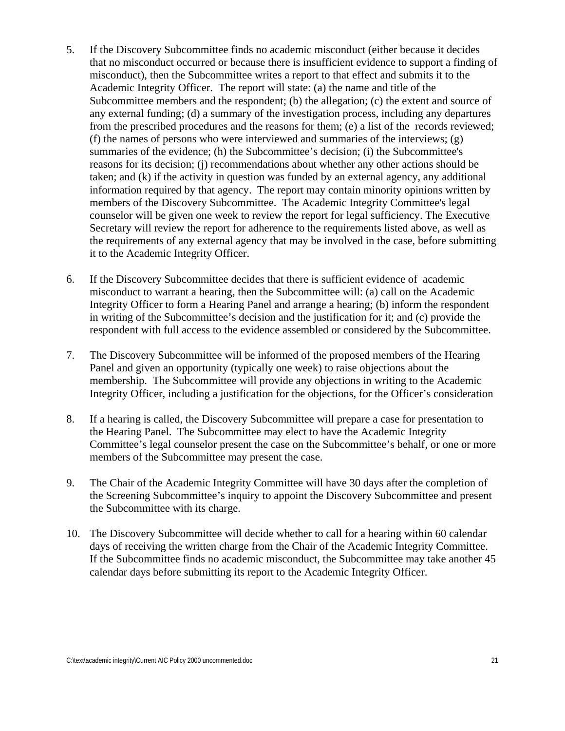- 5. If the Discovery Subcommittee finds no academic misconduct (either because it decides that no misconduct occurred or because there is insufficient evidence to support a finding of misconduct), then the Subcommittee writes a report to that effect and submits it to the Academic Integrity Officer. The report will state: (a) the name and title of the Subcommittee members and the respondent; (b) the allegation; (c) the extent and source of any external funding; (d) a summary of the investigation process, including any departures from the prescribed procedures and the reasons for them; (e) a list of the records reviewed; (f) the names of persons who were interviewed and summaries of the interviews; (g) summaries of the evidence; (h) the Subcommittee's decision; (i) the Subcommittee's reasons for its decision; (j) recommendations about whether any other actions should be taken; and (k) if the activity in question was funded by an external agency, any additional information required by that agency. The report may contain minority opinions written by members of the Discovery Subcommittee. The Academic Integrity Committee's legal counselor will be given one week to review the report for legal sufficiency. The Executive Secretary will review the report for adherence to the requirements listed above, as well as the requirements of any external agency that may be involved in the case, before submitting it to the Academic Integrity Officer.
- 6. If the Discovery Subcommittee decides that there is sufficient evidence of academic misconduct to warrant a hearing, then the Subcommittee will: (a) call on the Academic Integrity Officer to form a Hearing Panel and arrange a hearing; (b) inform the respondent in writing of the Subcommittee's decision and the justification for it; and (c) provide the respondent with full access to the evidence assembled or considered by the Subcommittee.
- 7. The Discovery Subcommittee will be informed of the proposed members of the Hearing Panel and given an opportunity (typically one week) to raise objections about the membership. The Subcommittee will provide any objections in writing to the Academic Integrity Officer, including a justification for the objections, for the Officer's consideration
- 8. If a hearing is called, the Discovery Subcommittee will prepare a case for presentation to the Hearing Panel. The Subcommittee may elect to have the Academic Integrity Committee's legal counselor present the case on the Subcommittee's behalf, or one or more members of the Subcommittee may present the case.
- 9. The Chair of the Academic Integrity Committee will have 30 days after the completion of the Screening Subcommittee's inquiry to appoint the Discovery Subcommittee and present the Subcommittee with its charge.
- 10. The Discovery Subcommittee will decide whether to call for a hearing within 60 calendar days of receiving the written charge from the Chair of the Academic Integrity Committee. If the Subcommittee finds no academic misconduct, the Subcommittee may take another 45 calendar days before submitting its report to the Academic Integrity Officer.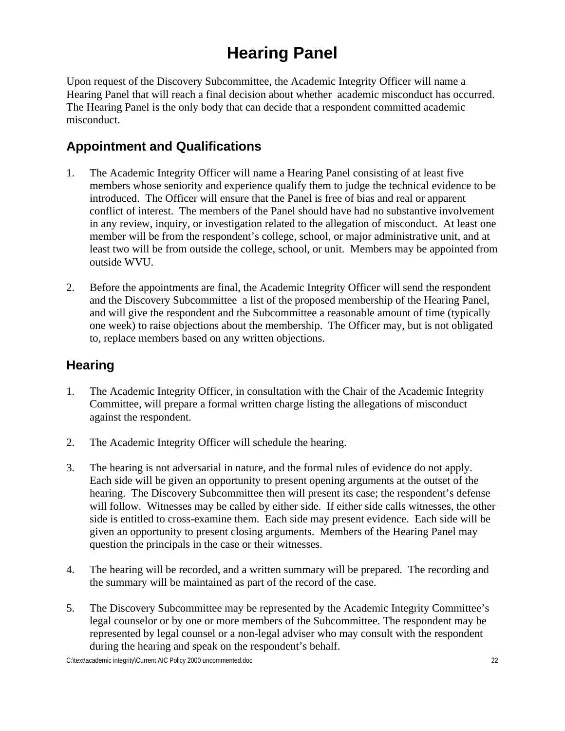### **Hearing Panel**

<span id="page-26-0"></span>Upon request of the Discovery Subcommittee, the Academic Integrity Officer will name a Hearing Panel that will reach a final decision about whether academic misconduct has occurred. The Hearing Panel is the only body that can decide that a respondent committed academic misconduct.

#### **Appointment and Qualifications**

- 1. The Academic Integrity Officer will name a Hearing Panel consisting of at least five members whose seniority and experience qualify them to judge the technical evidence to be introduced. The Officer will ensure that the Panel is free of bias and real or apparent conflict of interest. The members of the Panel should have had no substantive involvement in any review, inquiry, or investigation related to the allegation of misconduct. At least one member will be from the respondent's college, school, or major administrative unit, and at least two will be from outside the college, school, or unit. Members may be appointed from outside WVU.
- 2. Before the appointments are final, the Academic Integrity Officer will send the respondent and the Discovery Subcommittee a list of the proposed membership of the Hearing Panel, and will give the respondent and the Subcommittee a reasonable amount of time (typically one week) to raise objections about the membership. The Officer may, but is not obligated to, replace members based on any written objections.

#### **Hearing**

- 1. The Academic Integrity Officer, in consultation with the Chair of the Academic Integrity Committee, will prepare a formal written charge listing the allegations of misconduct against the respondent.
- 2. The Academic Integrity Officer will schedule the hearing.
- 3. The hearing is not adversarial in nature, and the formal rules of evidence do not apply. Each side will be given an opportunity to present opening arguments at the outset of the hearing. The Discovery Subcommittee then will present its case; the respondent's defense will follow. Witnesses may be called by either side. If either side calls witnesses, the other side is entitled to cross-examine them. Each side may present evidence. Each side will be given an opportunity to present closing arguments. Members of the Hearing Panel may question the principals in the case or their witnesses.
- 4. The hearing will be recorded, and a written summary will be prepared. The recording and the summary will be maintained as part of the record of the case.
- 5. The Discovery Subcommittee may be represented by the Academic Integrity Committee's legal counselor or by one or more members of the Subcommittee. The respondent may be represented by legal counsel or a non-legal adviser who may consult with the respondent during the hearing and speak on the respondent's behalf.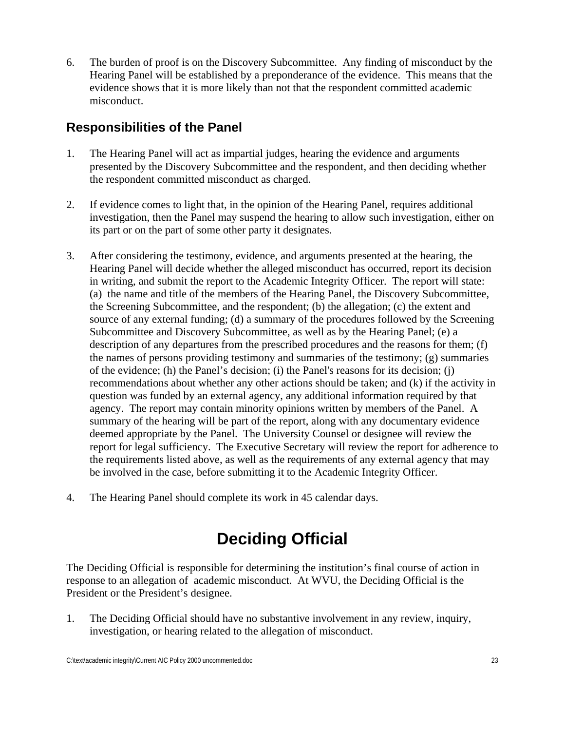<span id="page-27-0"></span>6. The burden of proof is on the Discovery Subcommittee. Any finding of misconduct by the Hearing Panel will be established by a preponderance of the evidence. This means that the evidence shows that it is more likely than not that the respondent committed academic misconduct.

#### **Responsibilities of the Panel**

- 1. The Hearing Panel will act as impartial judges, hearing the evidence and arguments presented by the Discovery Subcommittee and the respondent, and then deciding whether the respondent committed misconduct as charged.
- 2. If evidence comes to light that, in the opinion of the Hearing Panel, requires additional investigation, then the Panel may suspend the hearing to allow such investigation, either on its part or on the part of some other party it designates.
- 3. After considering the testimony, evidence, and arguments presented at the hearing, the Hearing Panel will decide whether the alleged misconduct has occurred, report its decision in writing, and submit the report to the Academic Integrity Officer. The report will state: (a) the name and title of the members of the Hearing Panel, the Discovery Subcommittee, the Screening Subcommittee, and the respondent; (b) the allegation; (c) the extent and source of any external funding; (d) a summary of the procedures followed by the Screening Subcommittee and Discovery Subcommittee, as well as by the Hearing Panel; (e) a description of any departures from the prescribed procedures and the reasons for them; (f) the names of persons providing testimony and summaries of the testimony; (g) summaries of the evidence; (h) the Panel's decision; (i) the Panel's reasons for its decision; (j) recommendations about whether any other actions should be taken; and (k) if the activity in question was funded by an external agency, any additional information required by that agency. The report may contain minority opinions written by members of the Panel. A summary of the hearing will be part of the report, along with any documentary evidence deemed appropriate by the Panel. The University Counsel or designee will review the report for legal sufficiency. The Executive Secretary will review the report for adherence to the requirements listed above, as well as the requirements of any external agency that may be involved in the case, before submitting it to the Academic Integrity Officer.
- 4. The Hearing Panel should complete its work in 45 calendar days.

### **Deciding Official**

The Deciding Official is responsible for determining the institution's final course of action in response to an allegation of academic misconduct. At WVU, the Deciding Official is the President or the President's designee.

1. The Deciding Official should have no substantive involvement in any review, inquiry, investigation, or hearing related to the allegation of misconduct.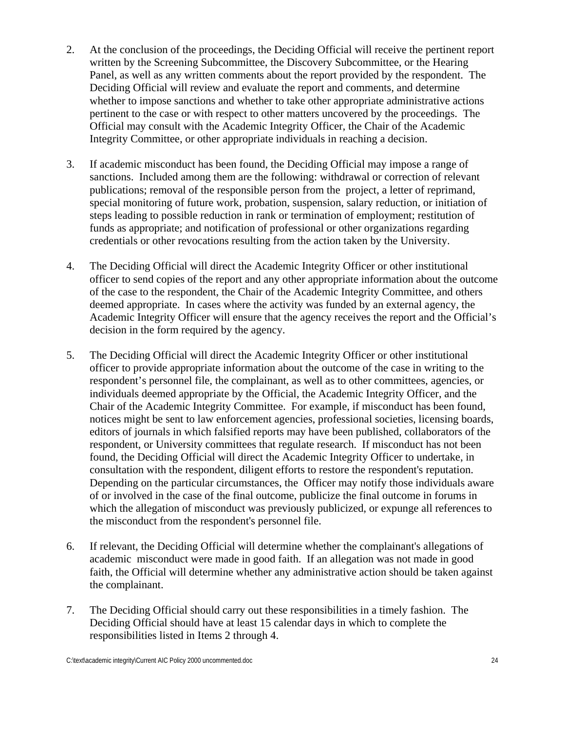- 2. At the conclusion of the proceedings, the Deciding Official will receive the pertinent report written by the Screening Subcommittee, the Discovery Subcommittee, or the Hearing Panel, as well as any written comments about the report provided by the respondent. The Deciding Official will review and evaluate the report and comments, and determine whether to impose sanctions and whether to take other appropriate administrative actions pertinent to the case or with respect to other matters uncovered by the proceedings. The Official may consult with the Academic Integrity Officer, the Chair of the Academic Integrity Committee, or other appropriate individuals in reaching a decision.
- 3. If academic misconduct has been found, the Deciding Official may impose a range of sanctions. Included among them are the following: withdrawal or correction of relevant publications; removal of the responsible person from the project, a letter of reprimand, special monitoring of future work, probation, suspension, salary reduction, or initiation of steps leading to possible reduction in rank or termination of employment; restitution of funds as appropriate; and notification of professional or other organizations regarding credentials or other revocations resulting from the action taken by the University.
- 4. The Deciding Official will direct the Academic Integrity Officer or other institutional officer to send copies of the report and any other appropriate information about the outcome of the case to the respondent, the Chair of the Academic Integrity Committee, and others deemed appropriate. In cases where the activity was funded by an external agency, the Academic Integrity Officer will ensure that the agency receives the report and the Official's decision in the form required by the agency.
- 5. The Deciding Official will direct the Academic Integrity Officer or other institutional officer to provide appropriate information about the outcome of the case in writing to the respondent's personnel file, the complainant, as well as to other committees, agencies, or individuals deemed appropriate by the Official, the Academic Integrity Officer, and the Chair of the Academic Integrity Committee. For example, if misconduct has been found, notices might be sent to law enforcement agencies, professional societies, licensing boards, editors of journals in which falsified reports may have been published, collaborators of the respondent, or University committees that regulate research. If misconduct has not been found, the Deciding Official will direct the Academic Integrity Officer to undertake, in consultation with the respondent, diligent efforts to restore the respondent's reputation. Depending on the particular circumstances, the Officer may notify those individuals aware of or involved in the case of the final outcome, publicize the final outcome in forums in which the allegation of misconduct was previously publicized, or expunge all references to the misconduct from the respondent's personnel file.
- 6. If relevant, the Deciding Official will determine whether the complainant's allegations of academic misconduct were made in good faith. If an allegation was not made in good faith, the Official will determine whether any administrative action should be taken against the complainant.
- 7. The Deciding Official should carry out these responsibilities in a timely fashion. The Deciding Official should have at least 15 calendar days in which to complete the responsibilities listed in Items 2 through 4.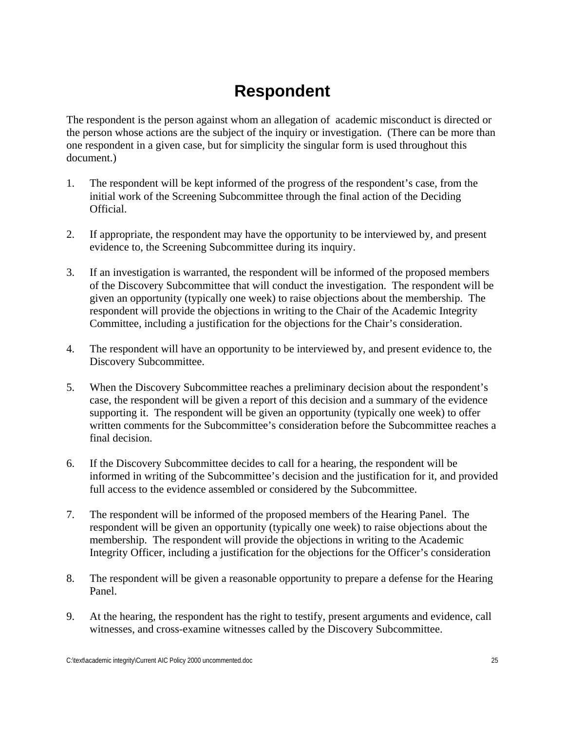### **Respondent**

<span id="page-29-0"></span>The respondent is the person against whom an allegation of academic misconduct is directed or the person whose actions are the subject of the inquiry or investigation. (There can be more than one respondent in a given case, but for simplicity the singular form is used throughout this document.)

- 1. The respondent will be kept informed of the progress of the respondent's case, from the initial work of the Screening Subcommittee through the final action of the Deciding Official.
- 2. If appropriate, the respondent may have the opportunity to be interviewed by, and present evidence to, the Screening Subcommittee during its inquiry.
- 3. If an investigation is warranted, the respondent will be informed of the proposed members of the Discovery Subcommittee that will conduct the investigation. The respondent will be given an opportunity (typically one week) to raise objections about the membership. The respondent will provide the objections in writing to the Chair of the Academic Integrity Committee, including a justification for the objections for the Chair's consideration.
- 4. The respondent will have an opportunity to be interviewed by, and present evidence to, the Discovery Subcommittee.
- 5. When the Discovery Subcommittee reaches a preliminary decision about the respondent's case, the respondent will be given a report of this decision and a summary of the evidence supporting it. The respondent will be given an opportunity (typically one week) to offer written comments for the Subcommittee's consideration before the Subcommittee reaches a final decision.
- 6. If the Discovery Subcommittee decides to call for a hearing, the respondent will be informed in writing of the Subcommittee's decision and the justification for it, and provided full access to the evidence assembled or considered by the Subcommittee.
- 7. The respondent will be informed of the proposed members of the Hearing Panel. The respondent will be given an opportunity (typically one week) to raise objections about the membership. The respondent will provide the objections in writing to the Academic Integrity Officer, including a justification for the objections for the Officer's consideration
- 8. The respondent will be given a reasonable opportunity to prepare a defense for the Hearing Panel.
- 9. At the hearing, the respondent has the right to testify, present arguments and evidence, call witnesses, and cross-examine witnesses called by the Discovery Subcommittee.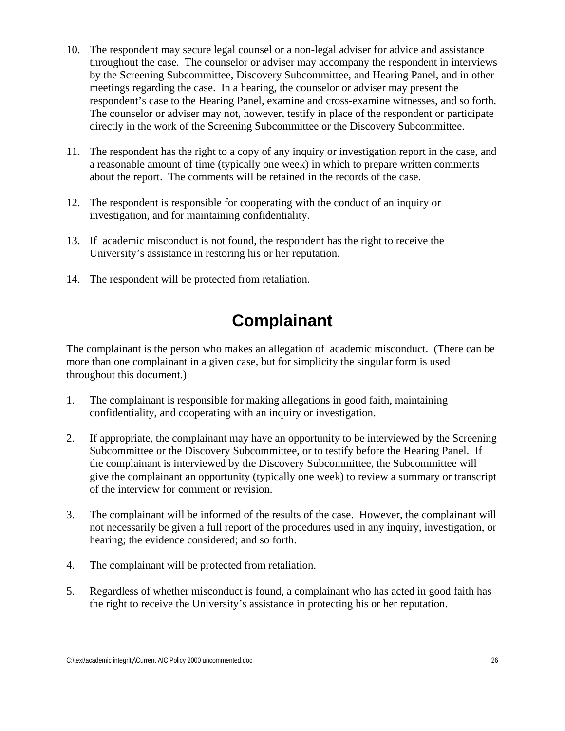- <span id="page-30-0"></span>10. The respondent may secure legal counsel or a non-legal adviser for advice and assistance throughout the case. The counselor or adviser may accompany the respondent in interviews by the Screening Subcommittee, Discovery Subcommittee, and Hearing Panel, and in other meetings regarding the case. In a hearing, the counselor or adviser may present the respondent's case to the Hearing Panel, examine and cross-examine witnesses, and so forth. The counselor or adviser may not, however, testify in place of the respondent or participate directly in the work of the Screening Subcommittee or the Discovery Subcommittee.
- 11. The respondent has the right to a copy of any inquiry or investigation report in the case, and a reasonable amount of time (typically one week) in which to prepare written comments about the report. The comments will be retained in the records of the case.
- 12. The respondent is responsible for cooperating with the conduct of an inquiry or investigation, and for maintaining confidentiality.
- 13. If academic misconduct is not found, the respondent has the right to receive the University's assistance in restoring his or her reputation.
- 14. The respondent will be protected from retaliation.

### **Complainant**

The complainant is the person who makes an allegation of academic misconduct. (There can be more than one complainant in a given case, but for simplicity the singular form is used throughout this document.)

- 1. The complainant is responsible for making allegations in good faith, maintaining confidentiality, and cooperating with an inquiry or investigation.
- 2. If appropriate, the complainant may have an opportunity to be interviewed by the Screening Subcommittee or the Discovery Subcommittee, or to testify before the Hearing Panel. If the complainant is interviewed by the Discovery Subcommittee, the Subcommittee will give the complainant an opportunity (typically one week) to review a summary or transcript of the interview for comment or revision.
- 3. The complainant will be informed of the results of the case. However, the complainant will not necessarily be given a full report of the procedures used in any inquiry, investigation, or hearing; the evidence considered; and so forth.
- 4. The complainant will be protected from retaliation.
- 5. Regardless of whether misconduct is found, a complainant who has acted in good faith has the right to receive the University's assistance in protecting his or her reputation.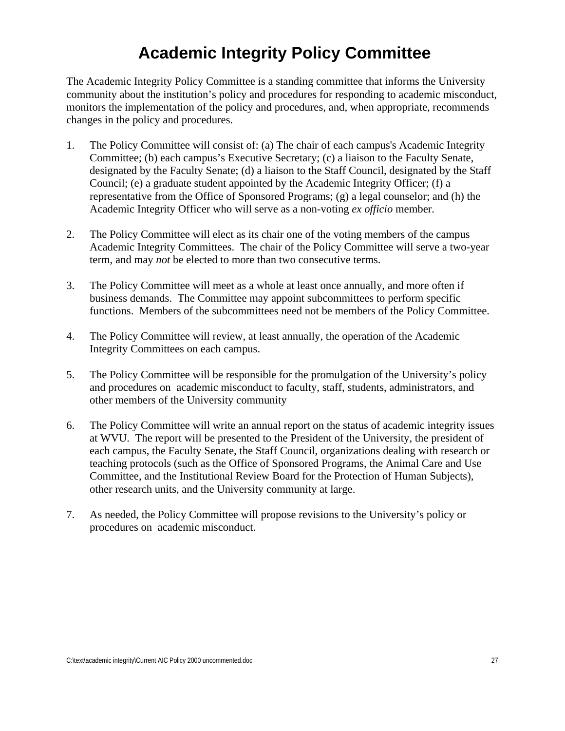### **Academic Integrity Policy Committee**

<span id="page-31-0"></span>The Academic Integrity Policy Committee is a standing committee that informs the University community about the institution's policy and procedures for responding to academic misconduct, monitors the implementation of the policy and procedures, and, when appropriate, recommends changes in the policy and procedures.

- 1. The Policy Committee will consist of: (a) The chair of each campus's Academic Integrity Committee; (b) each campus's Executive Secretary; (c) a liaison to the Faculty Senate, designated by the Faculty Senate; (d) a liaison to the Staff Council, designated by the Staff Council; (e) a graduate student appointed by the Academic Integrity Officer; (f) a representative from the Office of Sponsored Programs; (g) a legal counselor; and (h) the Academic Integrity Officer who will serve as a non-voting *ex officio* member.
- 2. The Policy Committee will elect as its chair one of the voting members of the campus Academic Integrity Committees. The chair of the Policy Committee will serve a two-year term, and may *not* be elected to more than two consecutive terms.
- 3. The Policy Committee will meet as a whole at least once annually, and more often if business demands. The Committee may appoint subcommittees to perform specific functions. Members of the subcommittees need not be members of the Policy Committee.
- 4. The Policy Committee will review, at least annually, the operation of the Academic Integrity Committees on each campus.
- 5. The Policy Committee will be responsible for the promulgation of the University's policy and procedures on academic misconduct to faculty, staff, students, administrators, and other members of the University community
- 6. The Policy Committee will write an annual report on the status of academic integrity issues at WVU. The report will be presented to the President of the University, the president of each campus, the Faculty Senate, the Staff Council, organizations dealing with research or teaching protocols (such as the Office of Sponsored Programs, the Animal Care and Use Committee, and the Institutional Review Board for the Protection of Human Subjects), other research units, and the University community at large.
- 7. As needed, the Policy Committee will propose revisions to the University's policy or procedures on academic misconduct.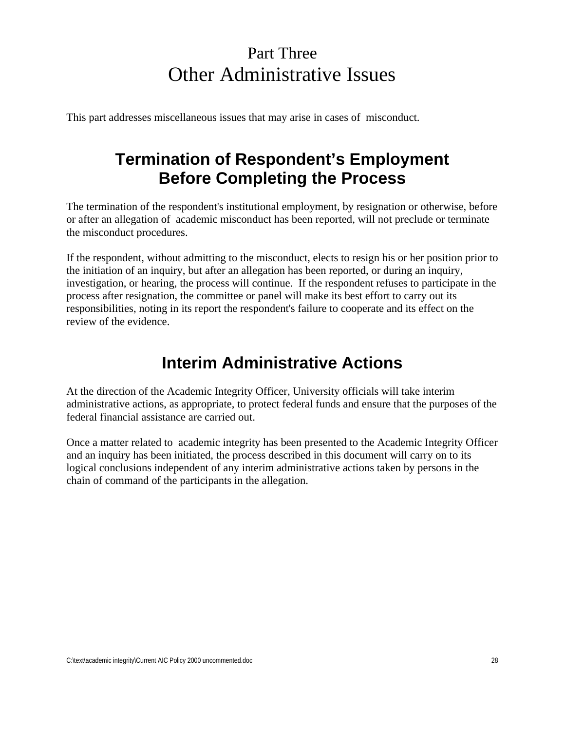### Part Three Other Administrative Issues

<span id="page-32-0"></span>This part addresses miscellaneous issues that may arise in cases of misconduct.

### **Termination of Respondent's Employment Before Completing the Process**

The termination of the respondent's institutional employment, by resignation or otherwise, before or after an allegation of academic misconduct has been reported, will not preclude or terminate the misconduct procedures.

If the respondent, without admitting to the misconduct, elects to resign his or her position prior to the initiation of an inquiry, but after an allegation has been reported, or during an inquiry, investigation, or hearing, the process will continue. If the respondent refuses to participate in the process after resignation, the committee or panel will make its best effort to carry out its responsibilities, noting in its report the respondent's failure to cooperate and its effect on the review of the evidence.

### **Interim Administrative Actions**

At the direction of the Academic Integrity Officer, University officials will take interim administrative actions, as appropriate, to protect federal funds and ensure that the purposes of the federal financial assistance are carried out.

Once a matter related to academic integrity has been presented to the Academic Integrity Officer and an inquiry has been initiated, the process described in this document will carry on to its logical conclusions independent of any interim administrative actions taken by persons in the chain of command of the participants in the allegation.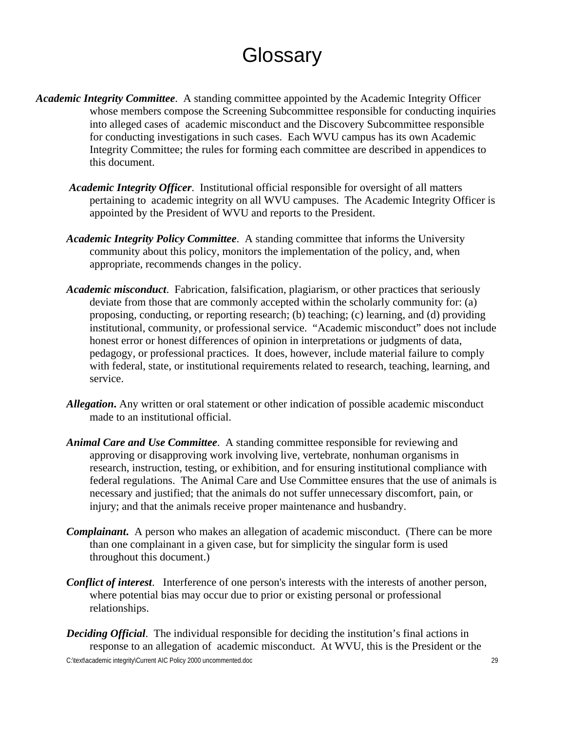## **Glossary**

- <span id="page-33-0"></span> *Academic Integrity Committee*. A standing committee appointed by the Academic Integrity Officer whose members compose the Screening Subcommittee responsible for conducting inquiries into alleged cases of academic misconduct and the Discovery Subcommittee responsible for conducting investigations in such cases. Each WVU campus has its own Academic Integrity Committee; the rules for forming each committee are described in appendices to this document.
	- *Academic Integrity Officer*. Institutional official responsible for oversight of all matters pertaining to academic integrity on all WVU campuses. The Academic Integrity Officer is appointed by the President of WVU and reports to the President.
	- *Academic Integrity Policy Committee*. A standing committee that informs the University community about this policy, monitors the implementation of the policy, and, when appropriate, recommends changes in the policy.
	- *Academic misconduct*. Fabrication, falsification, plagiarism, or other practices that seriously deviate from those that are commonly accepted within the scholarly community for: (a) proposing, conducting, or reporting research; (b) teaching; (c) learning, and (d) providing institutional, community, or professional service. "Academic misconduct" does not include honest error or honest differences of opinion in interpretations or judgments of data, pedagogy, or professional practices. It does, however, include material failure to comply with federal, state, or institutional requirements related to research, teaching, learning, and service.
	- *Allegation***.** Any written or oral statement or other indication of possible academic misconduct made to an institutional official.
	- *Animal Care and Use Committee*. A standing committee responsible for reviewing and approving or disapproving work involving live, vertebrate, nonhuman organisms in research, instruction, testing, or exhibition, and for ensuring institutional compliance with federal regulations. The Animal Care and Use Committee ensures that the use of animals is necessary and justified; that the animals do not suffer unnecessary discomfort, pain, or injury; and that the animals receive proper maintenance and husbandry.
	- *Complainant.* A person who makes an allegation of academic misconduct. (There can be more than one complainant in a given case, but for simplicity the singular form is used throughout this document.)
	- *Conflict of interest*. Interference of one person's interests with the interests of another person, where potential bias may occur due to prior or existing personal or professional relationships.
	- C:\text\academic integrity\Current AIC Policy 2000 uncommented.doc 29 *Deciding Official*. The individual responsible for deciding the institution's final actions in response to an allegation of academic misconduct. At WVU, this is the President or the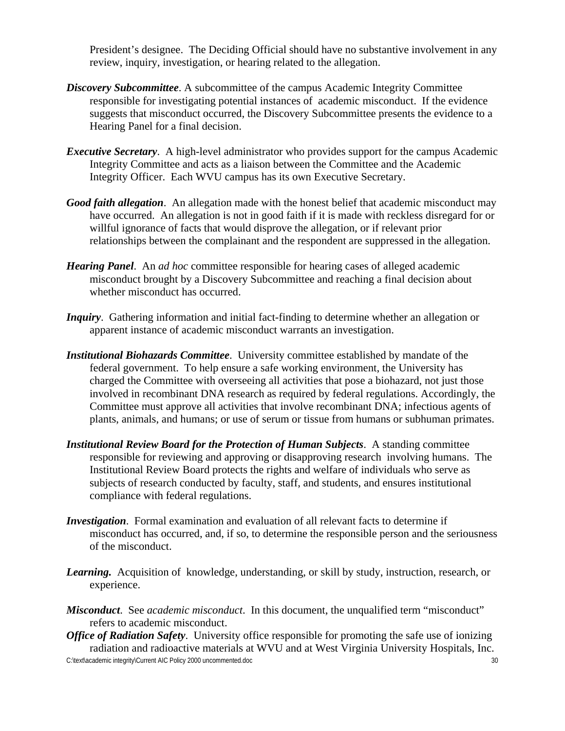President's designee. The Deciding Official should have no substantive involvement in any review, inquiry, investigation, or hearing related to the allegation.

- *Discovery Subcommittee*. A subcommittee of the campus Academic Integrity Committee responsible for investigating potential instances of academic misconduct. If the evidence suggests that misconduct occurred, the Discovery Subcommittee presents the evidence to a Hearing Panel for a final decision.
- *Executive Secretary*. A high-level administrator who provides support for the campus Academic Integrity Committee and acts as a liaison between the Committee and the Academic Integrity Officer. Each WVU campus has its own Executive Secretary.
- *Good faith allegation*. An allegation made with the honest belief that academic misconduct may have occurred. An allegation is not in good faith if it is made with reckless disregard for or willful ignorance of facts that would disprove the allegation, or if relevant prior relationships between the complainant and the respondent are suppressed in the allegation.
- *Hearing Panel*. An *ad hoc* committee responsible for hearing cases of alleged academic misconduct brought by a Discovery Subcommittee and reaching a final decision about whether misconduct has occurred.
- *Inquiry*. Gathering information and initial fact-finding to determine whether an allegation or apparent instance of academic misconduct warrants an investigation.
- *Institutional Biohazards Committee*. University committee established by mandate of the federal government. To help ensure a safe working environment, the University has charged the Committee with overseeing all activities that pose a biohazard, not just those involved in recombinant DNA research as required by federal regulations. Accordingly, the Committee must approve all activities that involve recombinant DNA; infectious agents of plants, animals, and humans; or use of serum or tissue from humans or subhuman primates.
- *Institutional Review Board for the Protection of Human Subjects*. A standing committee responsible for reviewing and approving or disapproving research involving humans. The Institutional Review Board protects the rights and welfare of individuals who serve as subjects of research conducted by faculty, staff, and students, and ensures institutional compliance with federal regulations.
- *Investigation*. Formal examination and evaluation of all relevant facts to determine if misconduct has occurred, and, if so, to determine the responsible person and the seriousness of the misconduct.
- *Learning.* Acquisition of knowledge, understanding, or skill by study, instruction, research, or experience.
- *Misconduct*. See *academic misconduct*. In this document, the unqualified term "misconduct" refers to academic misconduct.
- *Office of Radiation Safety*. University office responsible for promoting the safe use of ionizing radiation and radioactive materials at WVU and at West Virginia University Hospitals, Inc.

C:\text\academic integrity\Current AIC Policy 2000 uncommented.doc 30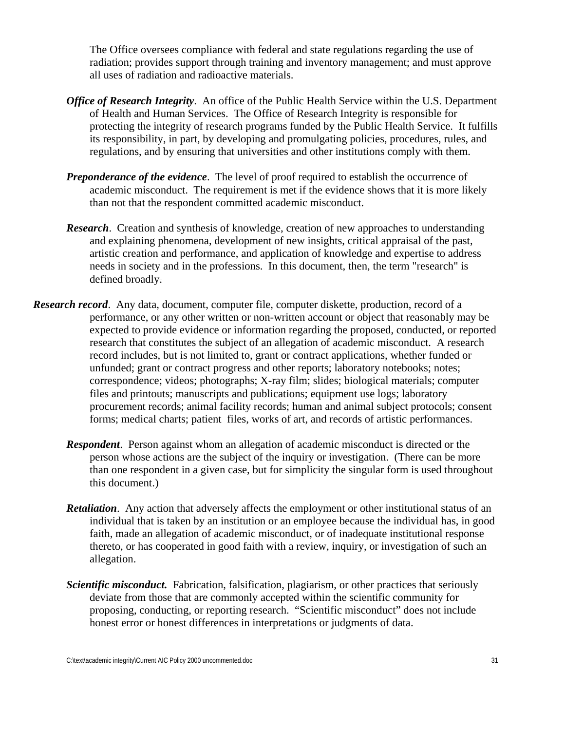The Office oversees compliance with federal and state regulations regarding the use of radiation; provides support through training and inventory management; and must approve all uses of radiation and radioactive materials.

- *Office of Research Integrity*. An office of the Public Health Service within the U.S. Department of Health and Human Services. The Office of Research Integrity is responsible for protecting the integrity of research programs funded by the Public Health Service. It fulfills its responsibility, in part, by developing and promulgating policies, procedures, rules, and regulations, and by ensuring that universities and other institutions comply with them.
- *Preponderance of the evidence*. The level of proof required to establish the occurrence of academic misconduct. The requirement is met if the evidence shows that it is more likely than not that the respondent committed academic misconduct.
- *Research.* Creation and synthesis of knowledge, creation of new approaches to understanding and explaining phenomena, development of new insights, critical appraisal of the past, artistic creation and performance, and application of knowledge and expertise to address needs in society and in the professions. In this document, then, the term "research" is defined broadly.
- *Research record*. Any data, document, computer file, computer diskette, production, record of a performance, or any other written or non-written account or object that reasonably may be expected to provide evidence or information regarding the proposed, conducted, or reported research that constitutes the subject of an allegation of academic misconduct. A research record includes, but is not limited to, grant or contract applications, whether funded or unfunded; grant or contract progress and other reports; laboratory notebooks; notes; correspondence; videos; photographs; X-ray film; slides; biological materials; computer files and printouts; manuscripts and publications; equipment use logs; laboratory procurement records; animal facility records; human and animal subject protocols; consent forms; medical charts; patient files, works of art, and records of artistic performances.
	- *Respondent*. Person against whom an allegation of academic misconduct is directed or the person whose actions are the subject of the inquiry or investigation. (There can be more than one respondent in a given case, but for simplicity the singular form is used throughout this document.)
	- *Retaliation*. Any action that adversely affects the employment or other institutional status of an individual that is taken by an institution or an employee because the individual has, in good faith, made an allegation of academic misconduct, or of inadequate institutional response thereto, or has cooperated in good faith with a review, inquiry, or investigation of such an allegation.
	- *Scientific misconduct.* Fabrication, falsification, plagiarism, or other practices that seriously deviate from those that are commonly accepted within the scientific community for proposing, conducting, or reporting research. "Scientific misconduct" does not include honest error or honest differences in interpretations or judgments of data.